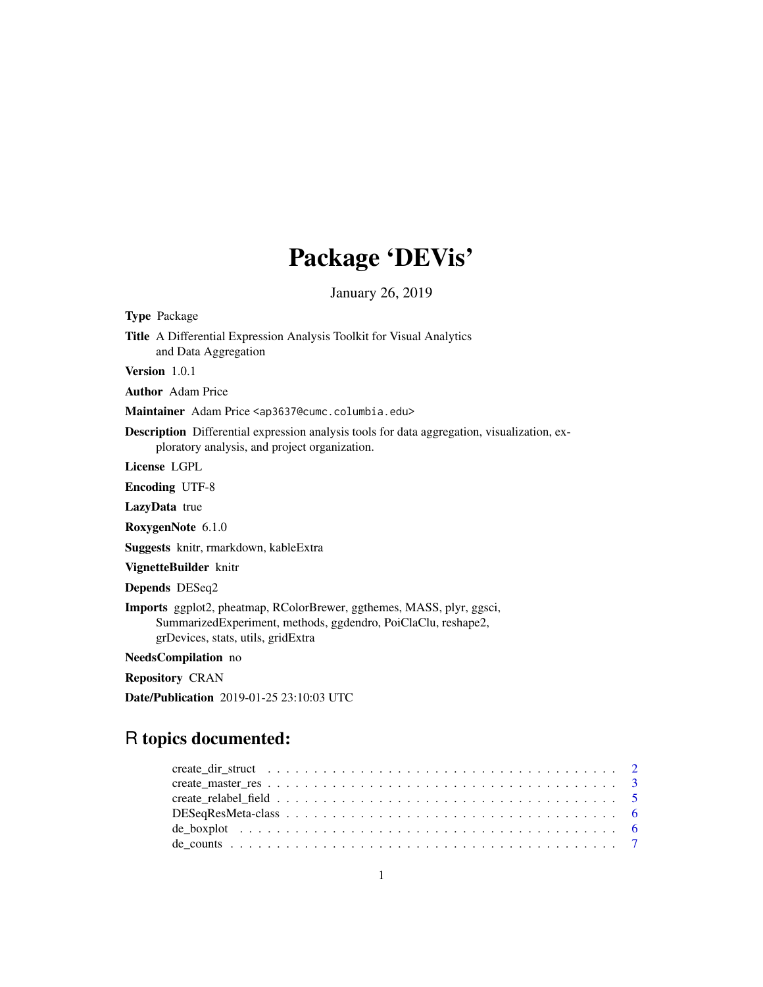# Package 'DEVis'

January 26, 2019

| <b>Type Package</b>                                                                                                                                                          |
|------------------------------------------------------------------------------------------------------------------------------------------------------------------------------|
| <b>Title</b> A Differential Expression Analysis Toolkit for Visual Analytics<br>and Data Aggregation                                                                         |
| <b>Version</b> $1.0.1$                                                                                                                                                       |
| <b>Author</b> Adam Price                                                                                                                                                     |
| Maintainer Adam Price <ap3637@cumc.columbia.edu></ap3637@cumc.columbia.edu>                                                                                                  |
| <b>Description</b> Differential expression analysis tools for data aggregation, visualization, ex-<br>ploratory analysis, and project organization.                          |
| License LGPL                                                                                                                                                                 |
| <b>Encoding UTF-8</b>                                                                                                                                                        |
| <b>LazyData</b> true                                                                                                                                                         |
| RoxygenNote 6.1.0                                                                                                                                                            |
| Suggests knitr, rmarkdown, kableExtra                                                                                                                                        |
| VignetteBuilder knitr                                                                                                                                                        |
| Depends DESeq2                                                                                                                                                               |
| Imports ggplot2, pheatmap, RColorBrewer, ggthemes, MASS, plyr, ggsci,<br>SummarizedExperiment, methods, ggdendro, PoiClaClu, reshape2,<br>grDevices, stats, utils, gridExtra |
| NeedsCompilation no                                                                                                                                                          |
| <b>Repository CRAN</b>                                                                                                                                                       |

Date/Publication 2019-01-25 23:10:03 UTC

## R topics documented: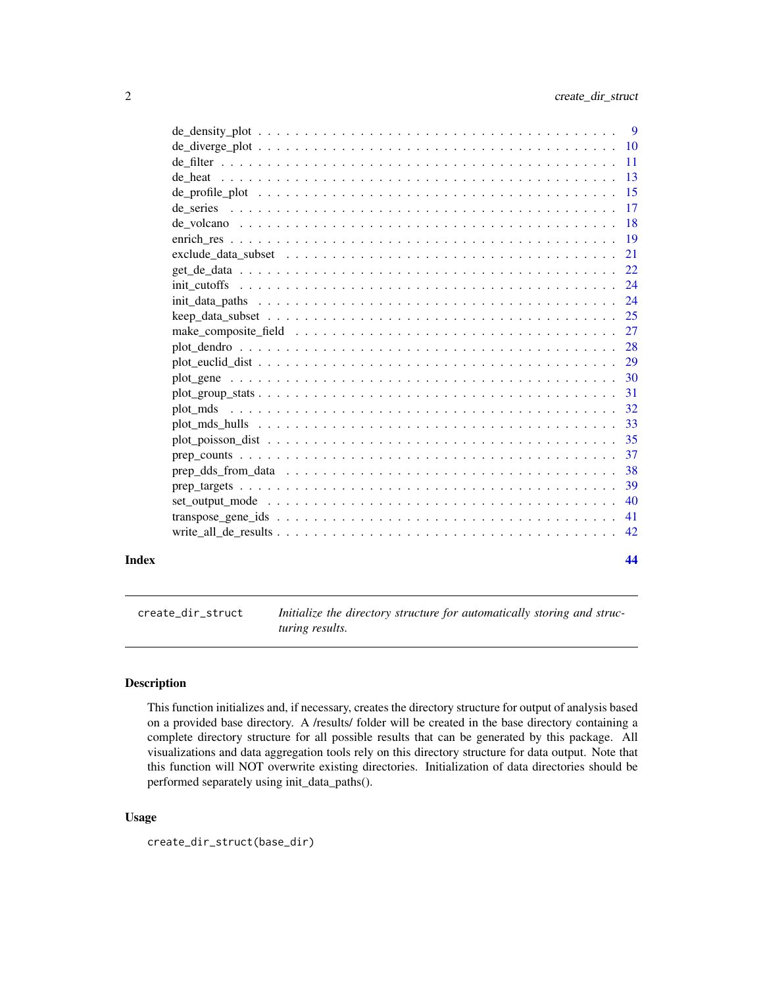<span id="page-1-0"></span>

| Index | 44  |
|-------|-----|
|       |     |
|       |     |
|       |     |
|       | -39 |
|       |     |
|       | -37 |
|       | 35  |
|       |     |
|       |     |
|       |     |
|       |     |
|       |     |
|       |     |
|       |     |
|       |     |
|       |     |
|       |     |
|       |     |
|       |     |
|       |     |
|       |     |
|       |     |
|       |     |
|       |     |
|       |     |
|       |     |
|       |     |
|       |     |

<span id="page-1-1"></span>create\_dir\_struct *Initialize the directory structure for automatically storing and structuring results.*

#### Description

This function initializes and, if necessary, creates the directory structure for output of analysis based on a provided base directory. A /results/ folder will be created in the base directory containing a complete directory structure for all possible results that can be generated by this package. All visualizations and data aggregation tools rely on this directory structure for data output. Note that this function will NOT overwrite existing directories. Initialization of data directories should be performed separately using init\_data\_paths().

#### Usage

```
create_dir_struct(base_dir)
```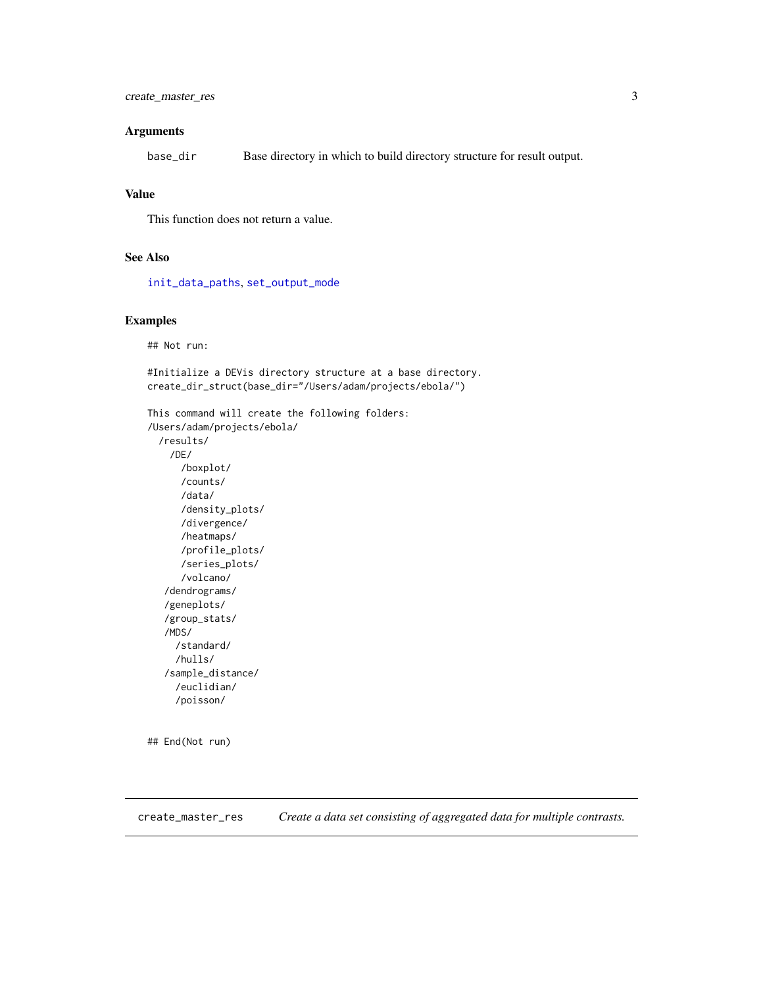#### <span id="page-2-0"></span>Arguments

base\_dir Base directory in which to build directory structure for result output.

#### Value

This function does not return a value.

#### See Also

[init\\_data\\_paths](#page-23-1), [set\\_output\\_mode](#page-39-1)

#### Examples

## Not run:

#Initialize a DEVis directory structure at a base directory. create\_dir\_struct(base\_dir="/Users/adam/projects/ebola/")

```
This command will create the following folders:
/Users/adam/projects/ebola/
 /results/
    /DE/
      /boxplot/
      /counts/
      /data/
      /density_plots/
      /divergence/
      /heatmaps/
      /profile_plots/
      /series_plots/
      /volcano/
   /dendrograms/
   /geneplots/
   /group_stats/
   /MDS/
     /standard/
     /hulls/
   /sample_distance/
     /euclidian/
     /poisson/
```
## End(Not run)

<span id="page-2-1"></span>create\_master\_res *Create a data set consisting of aggregated data for multiple contrasts.*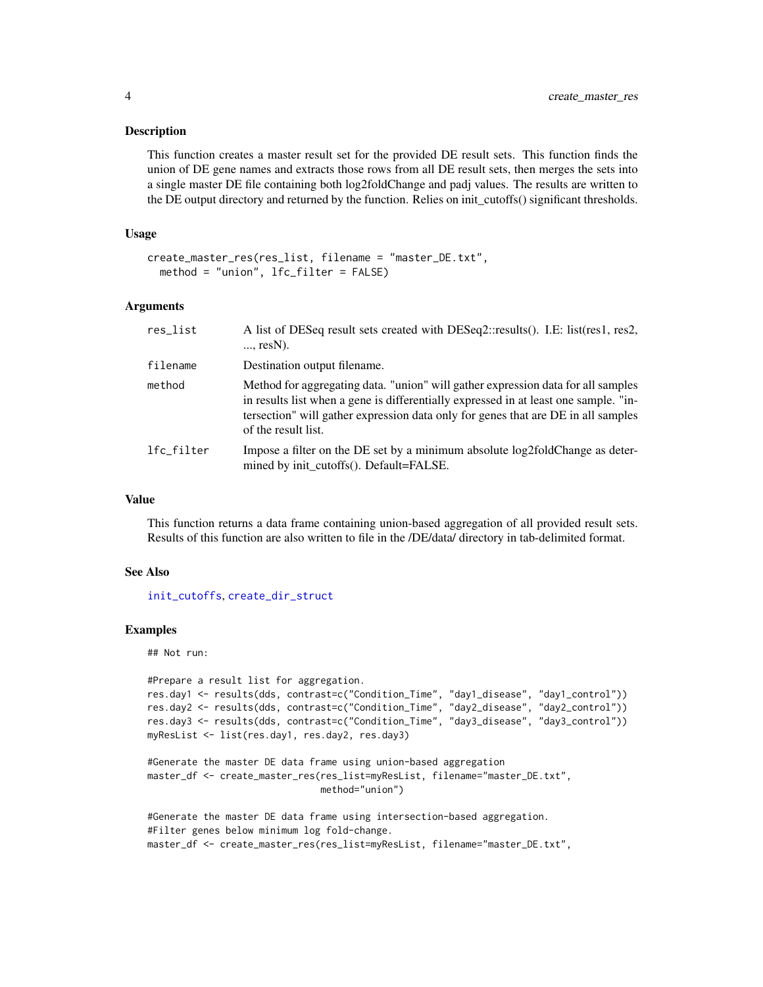#### <span id="page-3-0"></span>**Description**

This function creates a master result set for the provided DE result sets. This function finds the union of DE gene names and extracts those rows from all DE result sets, then merges the sets into a single master DE file containing both log2foldChange and padj values. The results are written to the DE output directory and returned by the function. Relies on init\_cutoffs() significant thresholds.

#### Usage

```
create_master_res(res_list, filename = "master_DE.txt",
 method = "union", lfc_filter = FALSE)
```
#### Arguments

| res_list   | A list of DESeq result sets created with DESeq2::results(). I.E: list(res1, res2,<br>$\ldots$ resN).                                                                                                                                                                                 |
|------------|--------------------------------------------------------------------------------------------------------------------------------------------------------------------------------------------------------------------------------------------------------------------------------------|
| filename   | Destination output filename.                                                                                                                                                                                                                                                         |
| method     | Method for aggregating data. "union" will gather expression data for all samples<br>in results list when a gene is differentially expressed in at least one sample. "in-<br>tersection" will gather expression data only for genes that are DE in all samples<br>of the result list. |
| lfc_filter | Impose a filter on the DE set by a minimum absolute log2foldChange as deter-<br>mined by init cutoffs(). Default=FALSE.                                                                                                                                                              |

#### Value

This function returns a data frame containing union-based aggregation of all provided result sets. Results of this function are also written to file in the /DE/data/ directory in tab-delimited format.

#### See Also

[init\\_cutoffs](#page-23-2), [create\\_dir\\_struct](#page-1-1)

#### Examples

## Not run:

```
#Prepare a result list for aggregation.
res.day1 <- results(dds, contrast=c("Condition_Time", "day1_disease", "day1_control"))
res.day2 <- results(dds, contrast=c("Condition_Time", "day2_disease", "day2_control"))
res.day3 <- results(dds, contrast=c("Condition_Time", "day3_disease", "day3_control"))
myResList <- list(res.day1, res.day2, res.day3)
```

```
#Generate the master DE data frame using union-based aggregation
master_df <- create_master_res(res_list=myResList, filename="master_DE.txt",
                              method="union")
```

```
#Generate the master DE data frame using intersection-based aggregation.
#Filter genes below minimum log fold-change.
master_df <- create_master_res(res_list=myResList, filename="master_DE.txt",
```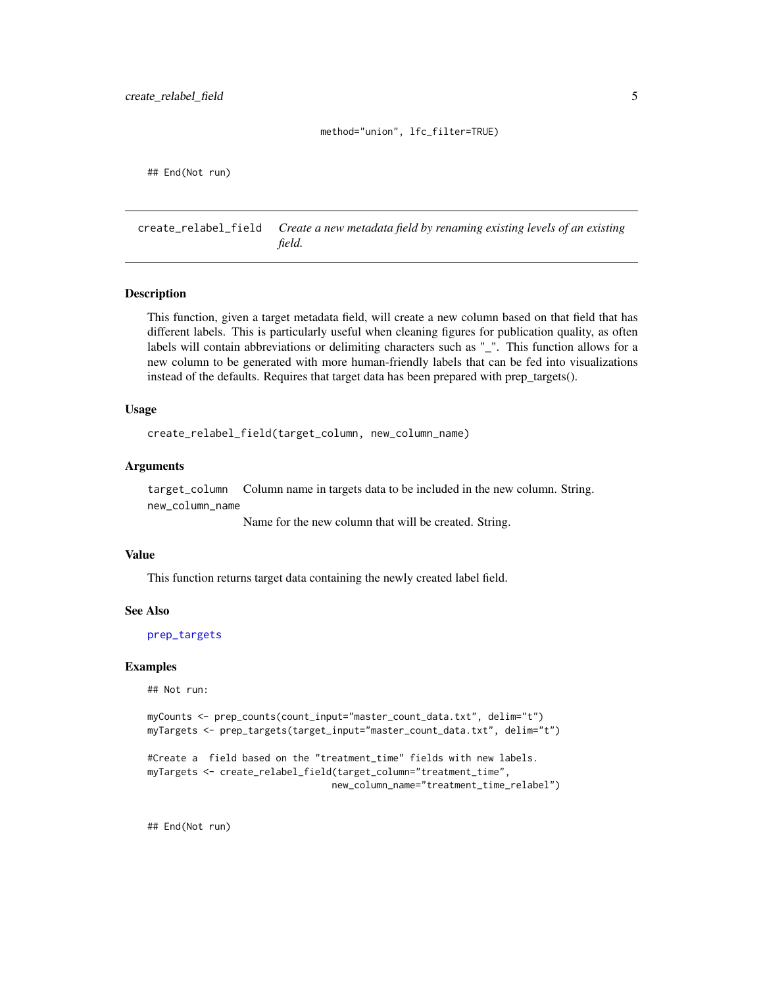#### method="union", lfc\_filter=TRUE)

<span id="page-4-0"></span>## End(Not run)

create\_relabel\_field *Create a new metadata field by renaming existing levels of an existing field.*

#### **Description**

This function, given a target metadata field, will create a new column based on that field that has different labels. This is particularly useful when cleaning figures for publication quality, as often labels will contain abbreviations or delimiting characters such as "\_". This function allows for a new column to be generated with more human-friendly labels that can be fed into visualizations instead of the defaults. Requires that target data has been prepared with prep\_targets().

#### Usage

create\_relabel\_field(target\_column, new\_column\_name)

#### Arguments

target\_column Column name in targets data to be included in the new column. String. new\_column\_name

Name for the new column that will be created. String.

#### Value

This function returns target data containing the newly created label field.

#### See Also

[prep\\_targets](#page-38-1)

#### Examples

## Not run:

myCounts <- prep\_counts(count\_input="master\_count\_data.txt", delim="t") myTargets <- prep\_targets(target\_input="master\_count\_data.txt", delim="t")

```
#Create a field based on the "treatment_time" fields with new labels.
myTargets <- create_relabel_field(target_column="treatment_time",
                                new_column_name="treatment_time_relabel")
```
## End(Not run)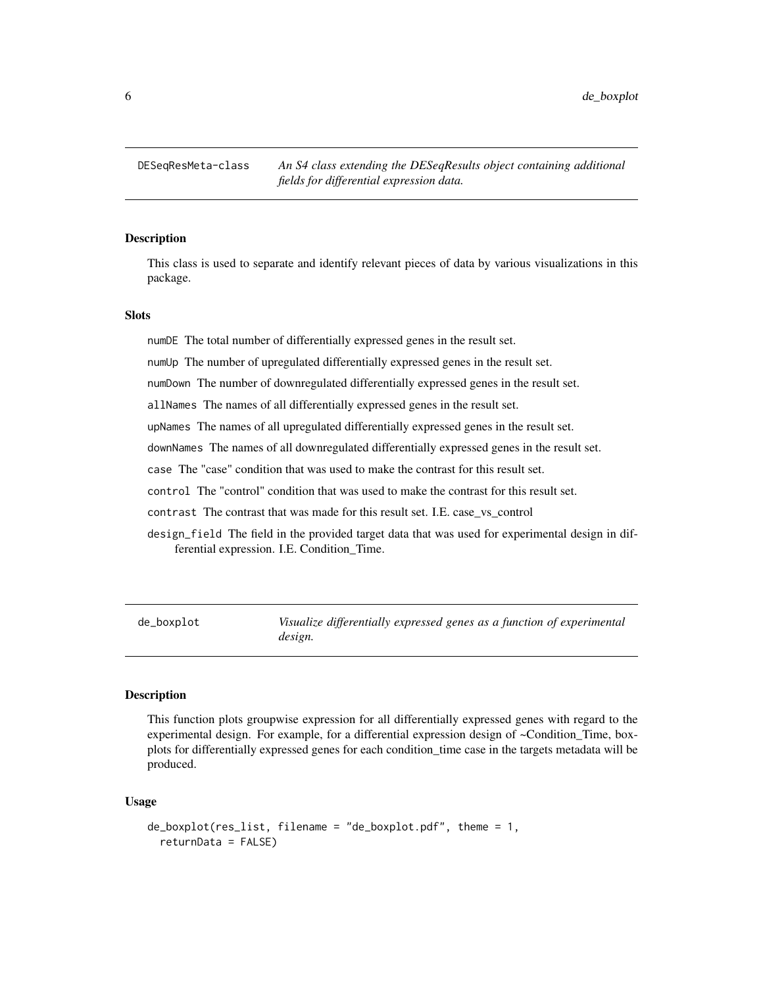<span id="page-5-0"></span>6 de\_boxplot

DESeqResMeta-class *An S4 class extending the DESeqResults object containing additional fields for differential expression data.*

#### **Description**

This class is used to separate and identify relevant pieces of data by various visualizations in this package.

#### Slots

numDE The total number of differentially expressed genes in the result set.

numUp The number of upregulated differentially expressed genes in the result set.

numDown The number of downregulated differentially expressed genes in the result set.

allNames The names of all differentially expressed genes in the result set.

upNames The names of all upregulated differentially expressed genes in the result set.

downNames The names of all downregulated differentially expressed genes in the result set.

case The "case" condition that was used to make the contrast for this result set.

control The "control" condition that was used to make the contrast for this result set.

contrast The contrast that was made for this result set. I.E. case\_vs\_control

design\_field The field in the provided target data that was used for experimental design in differential expression. I.E. Condition\_Time.

de\_boxplot *Visualize differentially expressed genes as a function of experimental design.*

#### **Description**

This function plots groupwise expression for all differentially expressed genes with regard to the experimental design. For example, for a differential expression design of ~Condition\_Time, boxplots for differentially expressed genes for each condition\_time case in the targets metadata will be produced.

#### Usage

```
de_boxplot(res_list, filename = "de_boxplot.pdf", theme = 1,
  returnData = FALSE)
```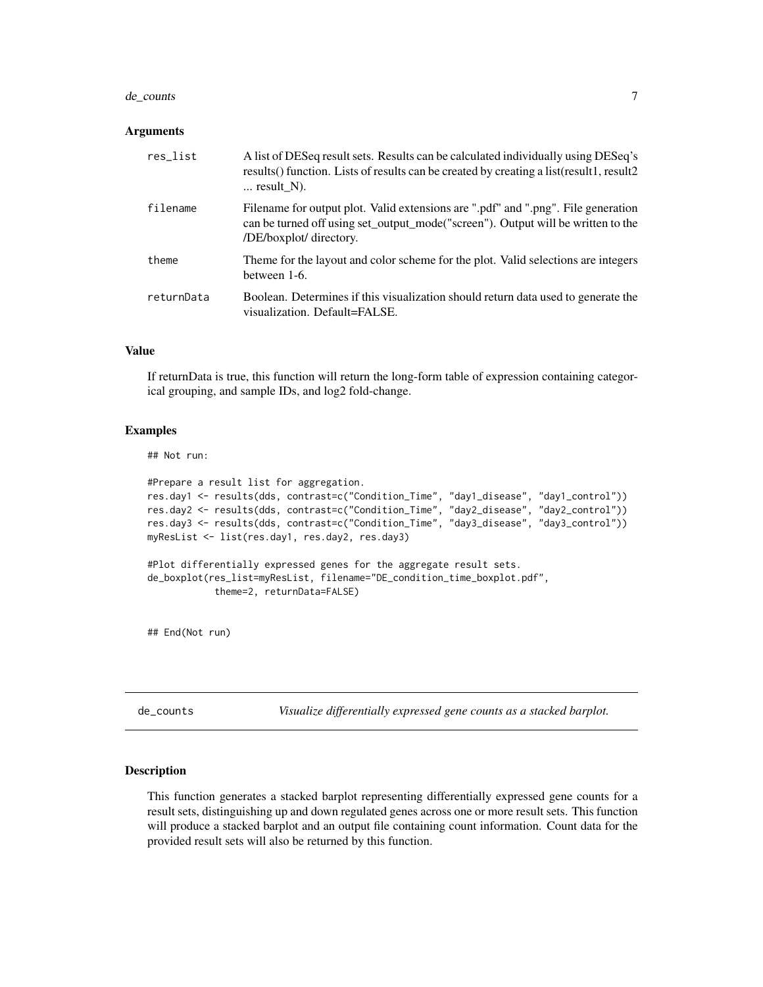#### <span id="page-6-0"></span>de\_counts 7

#### Arguments

| res_list   | A list of DESeq result sets. Results can be calculated individually using DESeq's<br>results () function. Lists of results can be created by creating a list (result1, result2<br>$\ldots$ result N). |
|------------|-------------------------------------------------------------------------------------------------------------------------------------------------------------------------------------------------------|
| filename   | Filename for output plot. Valid extensions are ".pdf" and ".png". File generation<br>can be turned off using set_output_mode("screen"). Output will be written to the<br>/DE/boxplot/ directory.      |
| theme      | Theme for the layout and color scheme for the plot. Valid selections are integers<br>between 1-6.                                                                                                     |
| returnData | Boolean. Determines if this visualization should return data used to generate the<br>visualization. Default=FALSE.                                                                                    |

#### Value

If returnData is true, this function will return the long-form table of expression containing categorical grouping, and sample IDs, and log2 fold-change.

#### Examples

## Not run:

```
#Prepare a result list for aggregation.
res.day1 <- results(dds, contrast=c("Condition_Time", "day1_disease", "day1_control"))
res.day2 <- results(dds, contrast=c("Condition_Time", "day2_disease", "day2_control"))
res.day3 <- results(dds, contrast=c("Condition_Time", "day3_disease", "day3_control"))
myResList <- list(res.day1, res.day2, res.day3)
#Plot differentially expressed genes for the aggregate result sets.
de_boxplot(res_list=myResList, filename="DE_condition_time_boxplot.pdf",
            theme=2, returnData=FALSE)
## End(Not run)
```
de\_counts *Visualize differentially expressed gene counts as a stacked barplot.*

#### Description

This function generates a stacked barplot representing differentially expressed gene counts for a result sets, distinguishing up and down regulated genes across one or more result sets. This function will produce a stacked barplot and an output file containing count information. Count data for the provided result sets will also be returned by this function.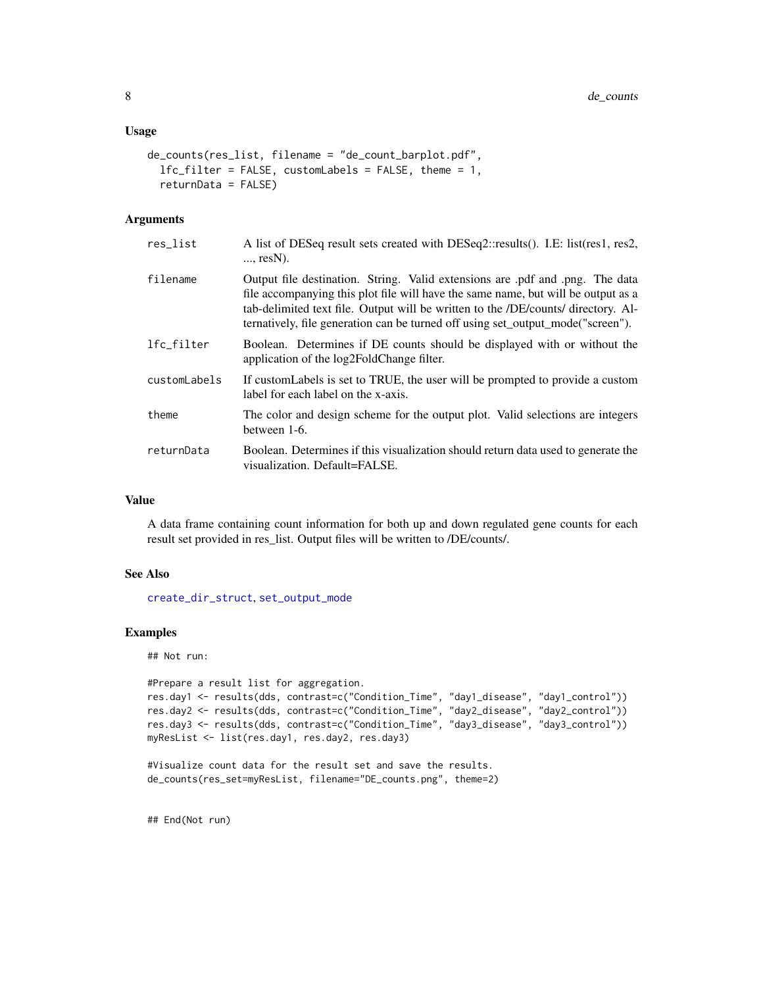#### <span id="page-7-0"></span>Usage

```
de_counts(res_list, filename = "de_count_barplot.pdf",
  lfc_filter = FALSE, customLabels = FALSE, theme = 1,
  returnData = FALSE)
```
#### Arguments

| res_list     | A list of DESeq result sets created with DESeq2::results(). I.E: list(res1, res2,<br>$\ldots$ resN).                                                                                                                                                                                                                                            |
|--------------|-------------------------------------------------------------------------------------------------------------------------------------------------------------------------------------------------------------------------------------------------------------------------------------------------------------------------------------------------|
| filename     | Output file destination. String. Valid extensions are pdf and png. The data<br>file accompanying this plot file will have the same name, but will be output as a<br>tab-delimited text file. Output will be written to the <i>/DE/counts/</i> directory. Al-<br>ternatively, file generation can be turned off using set_output_mode("screen"). |
| lfc_filter   | Boolean. Determines if DE counts should be displayed with or without the<br>application of the log2FoldChange filter.                                                                                                                                                                                                                           |
| customLabels | If custom Labels is set to TRUE, the user will be prompted to provide a custom<br>label for each label on the x-axis.                                                                                                                                                                                                                           |
| theme        | The color and design scheme for the output plot. Valid selections are integers<br>between 1-6.                                                                                                                                                                                                                                                  |
| returnData   | Boolean. Determines if this visualization should return data used to generate the<br>visualization. Default=FALSE.                                                                                                                                                                                                                              |

#### Value

A data frame containing count information for both up and down regulated gene counts for each result set provided in res\_list. Output files will be written to /DE/counts/.

#### See Also

[create\\_dir\\_struct](#page-1-1), [set\\_output\\_mode](#page-39-1)

#### Examples

## Not run:

```
#Prepare a result list for aggregation.
res.day1 <- results(dds, contrast=c("Condition_Time", "day1_disease", "day1_control"))
res.day2 <- results(dds, contrast=c("Condition_Time", "day2_disease", "day2_control"))
res.day3 <- results(dds, contrast=c("Condition_Time", "day3_disease", "day3_control"))
myResList <- list(res.day1, res.day2, res.day3)
```

```
#Visualize count data for the result set and save the results.
de_counts(res_set=myResList, filename="DE_counts.png", theme=2)
```
## End(Not run)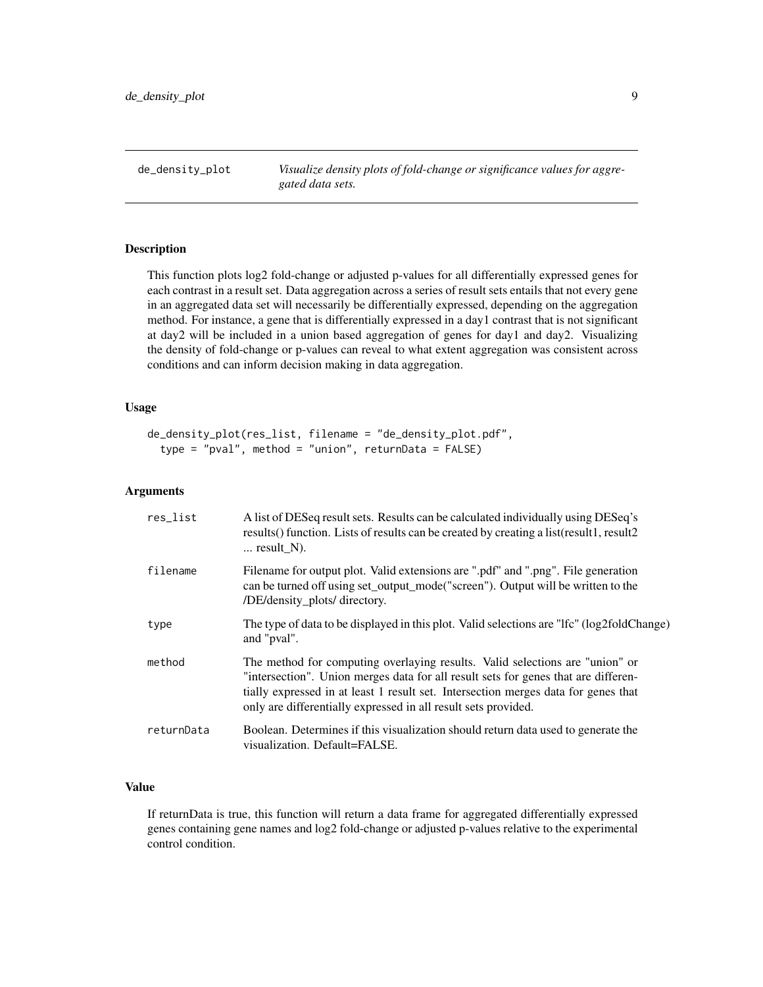<span id="page-8-0"></span>de\_density\_plot *Visualize density plots of fold-change or significance values for aggregated data sets.*

#### Description

This function plots log2 fold-change or adjusted p-values for all differentially expressed genes for each contrast in a result set. Data aggregation across a series of result sets entails that not every gene in an aggregated data set will necessarily be differentially expressed, depending on the aggregation method. For instance, a gene that is differentially expressed in a day1 contrast that is not significant at day2 will be included in a union based aggregation of genes for day1 and day2. Visualizing the density of fold-change or p-values can reveal to what extent aggregation was consistent across conditions and can inform decision making in data aggregation.

#### Usage

```
de_density_plot(res_list, filename = "de_density_plot.pdf",
  type = "pval", method = "union", returnData = FALSE)
```
#### Arguments

| res_list   | A list of DESeq result sets. Results can be calculated individually using DESeq's<br>results () function. Lists of results can be created by creating a list (result1, result2<br>$\ldots$ result_N).                                                                                                                      |
|------------|----------------------------------------------------------------------------------------------------------------------------------------------------------------------------------------------------------------------------------------------------------------------------------------------------------------------------|
| filename   | Filename for output plot. Valid extensions are ".pdf" and ".png". File generation<br>can be turned off using set_output_mode("screen"). Output will be written to the<br>/DE/density_plots/ directory.                                                                                                                     |
| type       | The type of data to be displayed in this plot. Valid selections are "Ifc" (log2foldChange)<br>and "pval".                                                                                                                                                                                                                  |
| method     | The method for computing overlaying results. Valid selections are "union" or<br>"intersection". Union merges data for all result sets for genes that are differen-<br>tially expressed in at least 1 result set. Intersection merges data for genes that<br>only are differentially expressed in all result sets provided. |
| returnData | Boolean. Determines if this visualization should return data used to generate the<br>visualization. Default=FALSE.                                                                                                                                                                                                         |

#### Value

If returnData is true, this function will return a data frame for aggregated differentially expressed genes containing gene names and log2 fold-change or adjusted p-values relative to the experimental control condition.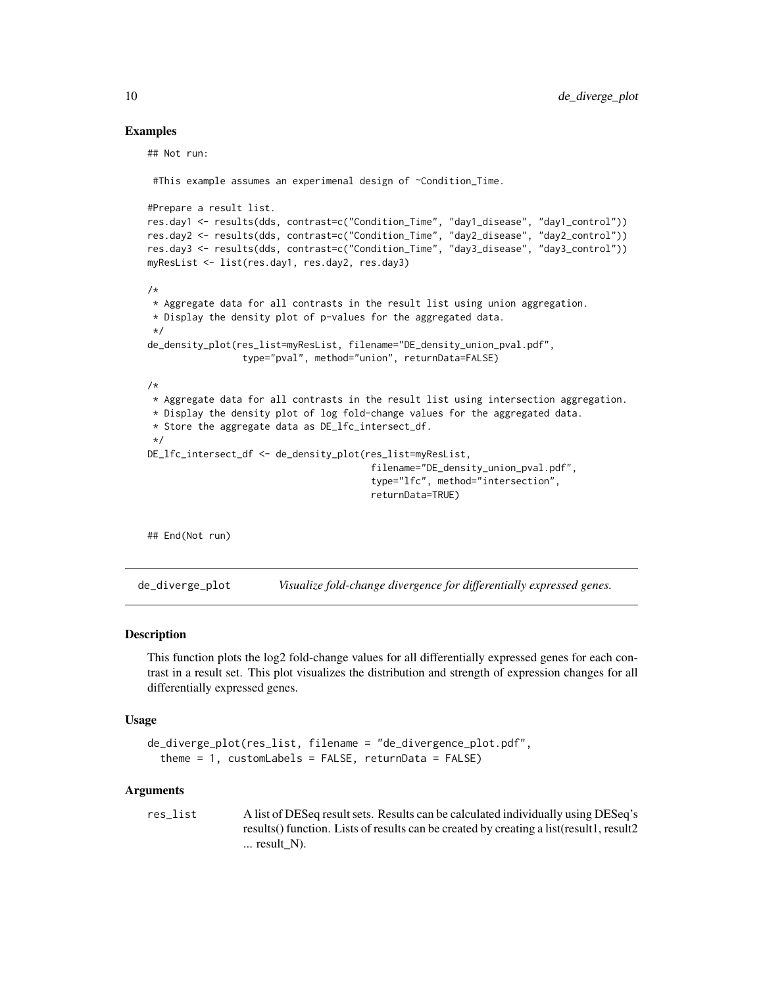#### Examples

```
## Not run:
 #This example assumes an experimenal design of ~Condition_Time.
#Prepare a result list.
res.day1 <- results(dds, contrast=c("Condition_Time", "day1_disease", "day1_control"))
res.day2 <- results(dds, contrast=c("Condition_Time", "day2_disease", "day2_control"))
res.day3 <- results(dds, contrast=c("Condition_Time", "day3_disease", "day3_control"))
myResList <- list(res.day1, res.day2, res.day3)
/*
* Aggregate data for all contrasts in the result list using union aggregation.
* Display the density plot of p-values for the aggregated data.
*/
de_density_plot(res_list=myResList, filename="DE_density_union_pval.pdf",
                 type="pval", method="union", returnData=FALSE)
/*
* Aggregate data for all contrasts in the result list using intersection aggregation.
* Display the density plot of log fold-change values for the aggregated data.
* Store the aggregate data as DE_lfc_intersect_df.
*/
DE_lfc_intersect_df <- de_density_plot(res_list=myResList,
                                        filename="DE_density_union_pval.pdf",
                                        type="lfc", method="intersection",
                                        returnData=TRUE)
```
## End(Not run)

de\_diverge\_plot *Visualize fold-change divergence for differentially expressed genes.*

#### Description

This function plots the log2 fold-change values for all differentially expressed genes for each contrast in a result set. This plot visualizes the distribution and strength of expression changes for all differentially expressed genes.

#### Usage

```
de_diverge_plot(res_list, filename = "de_divergence_plot.pdf",
  theme = 1, customLabels = FALSE, returnData = FALSE)
```
#### Arguments

res\_list A list of DESeq result sets. Results can be calculated individually using DESeq's results() function. Lists of results can be created by creating a list(result1, result2 ... result\_N).

<span id="page-9-0"></span>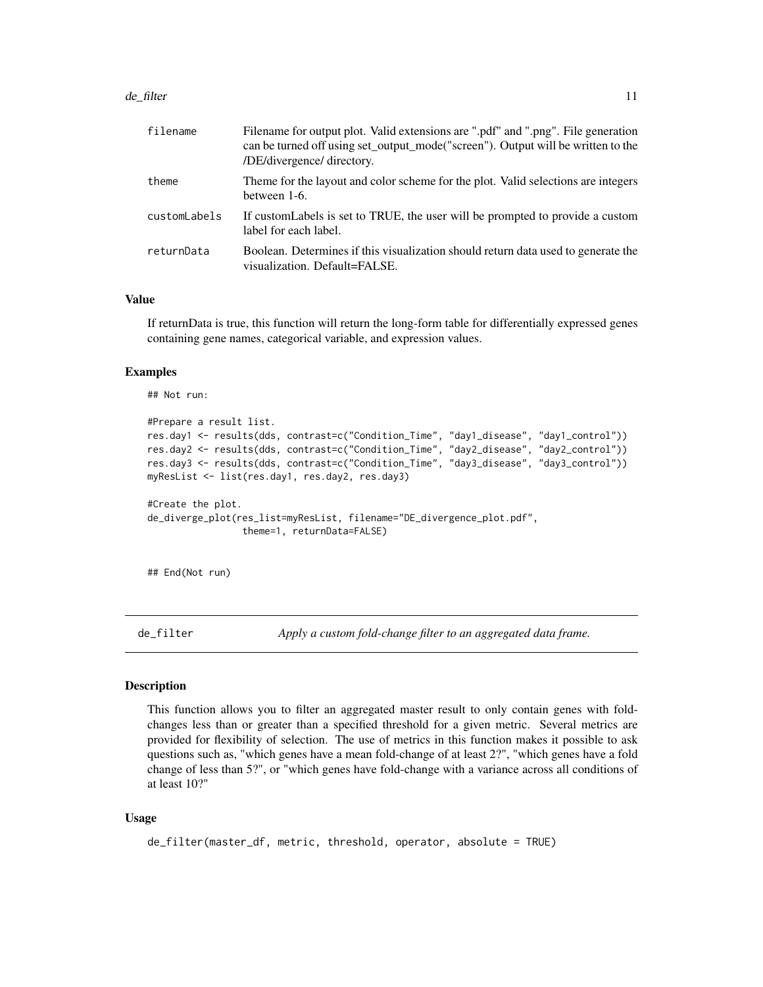#### <span id="page-10-0"></span>de\_filter the contract of the contract of the contract of the contract of the contract of the contract of the contract of the contract of the contract of the contract of the contract of the contract of the contract of the

| filename     | Filename for output plot. Valid extensions are ".pdf" and ".png". File generation<br>can be turned off using set_output_mode("screen"). Output will be written to the<br>/DE/divergence/ directory. |
|--------------|-----------------------------------------------------------------------------------------------------------------------------------------------------------------------------------------------------|
| theme        | Theme for the layout and color scheme for the plot. Valid selections are integers<br>between 1-6.                                                                                                   |
| customLabels | If custom Labels is set to TRUE, the user will be prompted to provide a custom<br>label for each label.                                                                                             |
| returnData   | Boolean. Determines if this visualization should return data used to generate the<br>visualization. Default=FALSE.                                                                                  |

#### Value

If returnData is true, this function will return the long-form table for differentially expressed genes containing gene names, categorical variable, and expression values.

#### Examples

```
## Not run:
```

```
#Prepare a result list.
res.day1 <- results(dds, contrast=c("Condition_Time", "day1_disease", "day1_control"))
res.day2 <- results(dds, contrast=c("Condition_Time", "day2_disease", "day2_control"))
res.day3 <- results(dds, contrast=c("Condition_Time", "day3_disease", "day3_control"))
myResList <- list(res.day1, res.day2, res.day3)
#Create the plot.
de_diverge_plot(res_list=myResList, filename="DE_divergence_plot.pdf",
                 theme=1, returnData=FALSE)
```
## End(Not run)

de\_filter *Apply a custom fold-change filter to an aggregated data frame.*

#### Description

This function allows you to filter an aggregated master result to only contain genes with foldchanges less than or greater than a specified threshold for a given metric. Several metrics are provided for flexibility of selection. The use of metrics in this function makes it possible to ask questions such as, "which genes have a mean fold-change of at least 2?", "which genes have a fold change of less than 5?", or "which genes have fold-change with a variance across all conditions of at least 10?"

#### Usage

```
de_filter(master_df, metric, threshold, operator, absolute = TRUE)
```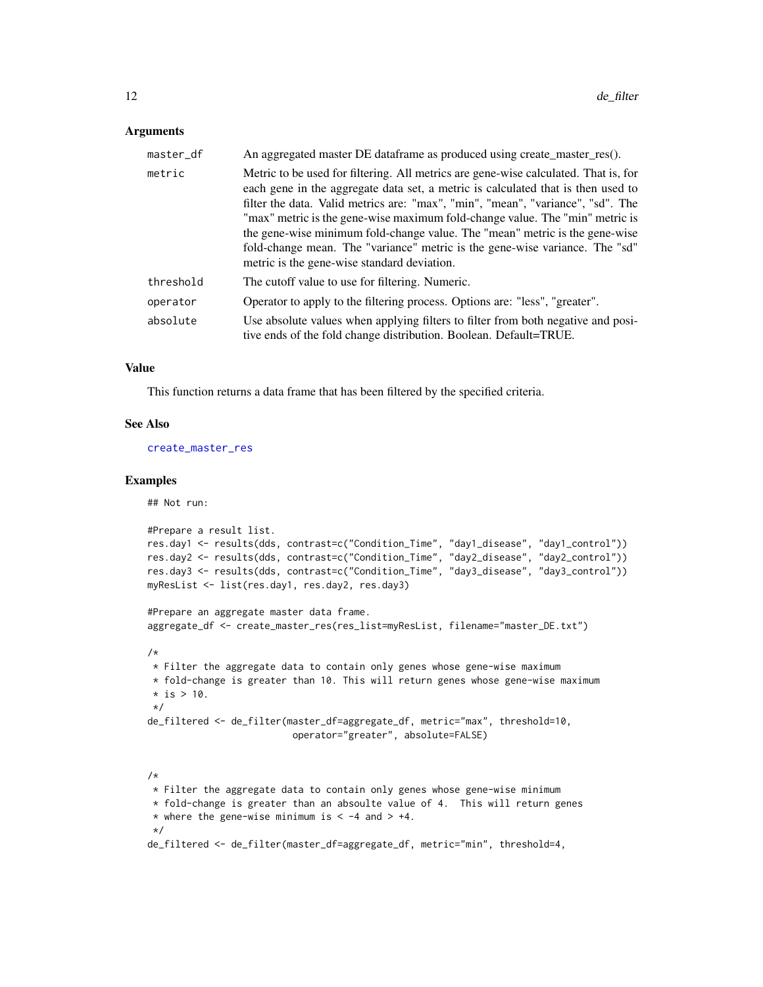#### <span id="page-11-0"></span>Arguments

| master_df | An aggregated master DE dataframe as produced using create_master_res().                                                                                                                                                                                                                                                                                                                                                                                                                                                                                |
|-----------|---------------------------------------------------------------------------------------------------------------------------------------------------------------------------------------------------------------------------------------------------------------------------------------------------------------------------------------------------------------------------------------------------------------------------------------------------------------------------------------------------------------------------------------------------------|
| metric    | Metric to be used for filtering. All metrics are gene-wise calculated. That is, for<br>each gene in the aggregate data set, a metric is calculated that is then used to<br>filter the data. Valid metrics are: "max", "min", "mean", "variance", "sd". The<br>"max" metric is the gene-wise maximum fold-change value. The "min" metric is<br>the gene-wise minimum fold-change value. The "mean" metric is the gene-wise<br>fold-change mean. The "variance" metric is the gene-wise variance. The "sd"<br>metric is the gene-wise standard deviation. |
| threshold | The cutoff value to use for filtering. Numeric.                                                                                                                                                                                                                                                                                                                                                                                                                                                                                                         |
| operator  | Operator to apply to the filtering process. Options are: "less", "greater".                                                                                                                                                                                                                                                                                                                                                                                                                                                                             |
| absolute  | Use absolute values when applying filters to filter from both negative and posi-<br>tive ends of the fold change distribution. Boolean. Default=TRUE.                                                                                                                                                                                                                                                                                                                                                                                                   |

#### Value

This function returns a data frame that has been filtered by the specified criteria.

#### See Also

[create\\_master\\_res](#page-2-1)

#### Examples

## Not run:

```
#Prepare a result list.
res.day1 <- results(dds, contrast=c("Condition_Time", "day1_disease", "day1_control"))
res.day2 <- results(dds, contrast=c("Condition_Time", "day2_disease", "day2_control"))
res.day3 <- results(dds, contrast=c("Condition_Time", "day3_disease", "day3_control"))
myResList <- list(res.day1, res.day2, res.day3)
#Prepare an aggregate master data frame.
aggregate_df <- create_master_res(res_list=myResList, filename="master_DE.txt")
/*
 * Filter the aggregate data to contain only genes whose gene-wise maximum
 * fold-change is greater than 10. This will return genes whose gene-wise maximum
 * is > 10.
 */
de_filtered <- de_filter(master_df=aggregate_df, metric="max", threshold=10,
                          operator="greater", absolute=FALSE)
/*
 * Filter the aggregate data to contain only genes whose gene-wise minimum
 * fold-change is greater than an absoulte value of 4. This will return genes
 * where the gene-wise minimum is < -4 and > +4.
 */
de_filtered <- de_filter(master_df=aggregate_df, metric="min", threshold=4,
```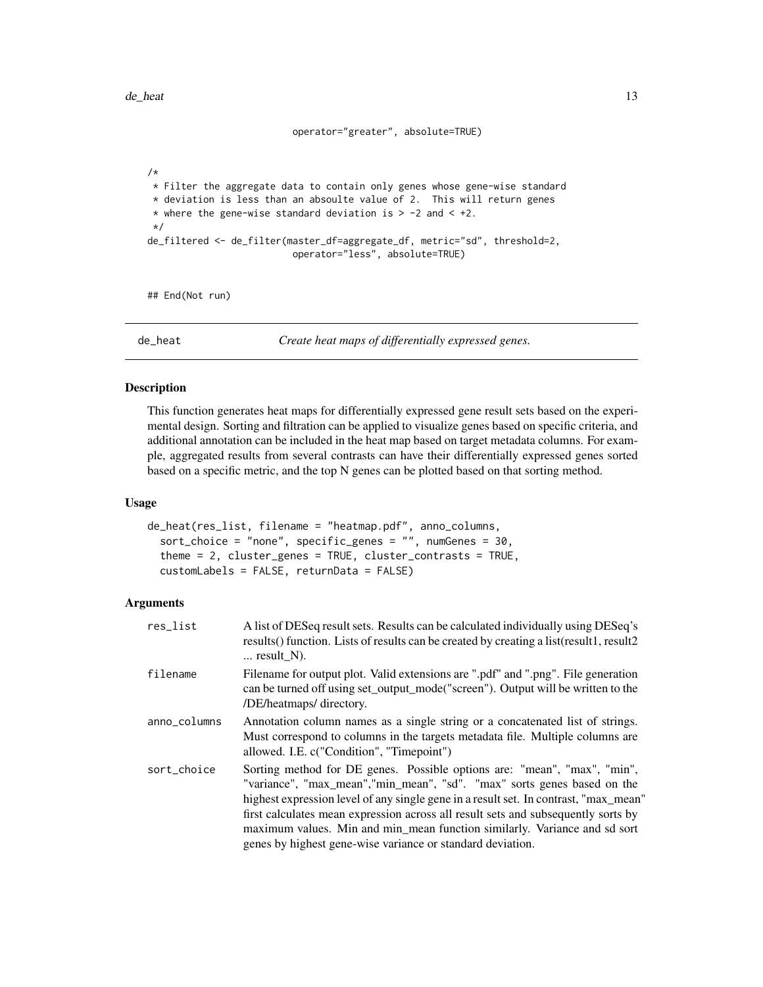```
operator="greater", absolute=TRUE)
```

```
/*
* Filter the aggregate data to contain only genes whose gene-wise standard
* deviation is less than an absoulte value of 2. This will return genes
* where the gene-wise standard deviation is > -2 and < +2.
*/
de_filtered <- de_filter(master_df=aggregate_df, metric="sd", threshold=2,
                          operator="less", absolute=TRUE)
```
## End(Not run)

de\_heat *Create heat maps of differentially expressed genes.*

#### **Description**

This function generates heat maps for differentially expressed gene result sets based on the experimental design. Sorting and filtration can be applied to visualize genes based on specific criteria, and additional annotation can be included in the heat map based on target metadata columns. For example, aggregated results from several contrasts can have their differentially expressed genes sorted based on a specific metric, and the top N genes can be plotted based on that sorting method.

#### Usage

```
de_heat(res_list, filename = "heatmap.pdf", anno_columns,
  sort_choice = "none", specific_genes = "", numGenes = 30,
  theme = 2, cluster_genes = TRUE, cluster_contrasts = TRUE,
 customLabels = FALSE, returnData = FALSE)
```

| res_list     | A list of DESeq result sets. Results can be calculated individually using DESeq's<br>results() function. Lists of results can be created by creating a list(result1, result2<br>$\ldots$ result N).                                                                                                                                                                                                                                                                          |
|--------------|------------------------------------------------------------------------------------------------------------------------------------------------------------------------------------------------------------------------------------------------------------------------------------------------------------------------------------------------------------------------------------------------------------------------------------------------------------------------------|
| filename     | Filename for output plot. Valid extensions are ".pdf" and ".png". File generation<br>can be turned off using set_output_mode("screen"). Output will be written to the<br>/DE/heatmaps/ directory.                                                                                                                                                                                                                                                                            |
| anno_columns | Annotation column names as a single string or a concatenated list of strings.<br>Must correspond to columns in the targets metadata file. Multiple columns are<br>allowed. I.E. c("Condition", "Timepoint")                                                                                                                                                                                                                                                                  |
| sort_choice  | Sorting method for DE genes. Possible options are: "mean", "max", "min",<br>"variance", "max_mean", "min_mean", "sd". "max" sorts genes based on the<br>highest expression level of any single gene in a result set. In contrast, "max_mean"<br>first calculates mean expression across all result sets and subsequently sorts by<br>maximum values. Min and min_mean function similarly. Variance and sd sort<br>genes by highest gene-wise variance or standard deviation. |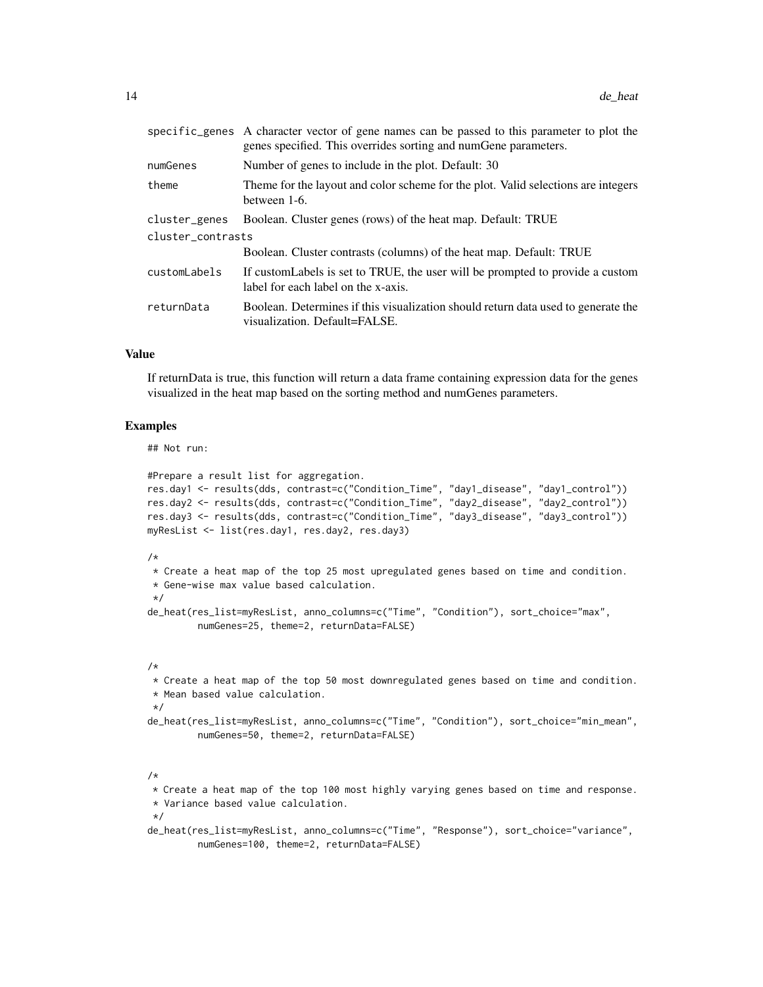|                   | specific_genes A character vector of gene names can be passed to this parameter to plot the<br>genes specified. This overrides sorting and numGene parameters. |  |
|-------------------|----------------------------------------------------------------------------------------------------------------------------------------------------------------|--|
| numGenes          | Number of genes to include in the plot. Default: 30                                                                                                            |  |
| theme             | Theme for the layout and color scheme for the plot. Valid selections are integers<br>between 1-6.                                                              |  |
| cluster_genes     | Boolean. Cluster genes (rows) of the heat map. Default: TRUE                                                                                                   |  |
| cluster contrasts |                                                                                                                                                                |  |
|                   | Boolean. Cluster contrasts (columns) of the heat map. Default: TRUE                                                                                            |  |
| customLabels      | If customLabels is set to TRUE, the user will be prompted to provide a custom<br>label for each label on the x-axis.                                           |  |
| returnData        | Boolean. Determines if this visualization should return data used to generate the<br>visualization. Default=FALSE.                                             |  |

#### Value

If returnData is true, this function will return a data frame containing expression data for the genes visualized in the heat map based on the sorting method and numGenes parameters.

#### Examples

## Not run:

```
#Prepare a result list for aggregation.
res.day1 <- results(dds, contrast=c("Condition_Time", "day1_disease", "day1_control"))
res.day2 <- results(dds, contrast=c("Condition_Time", "day2_disease", "day2_control"))
res.day3 <- results(dds, contrast=c("Condition_Time", "day3_disease", "day3_control"))
myResList <- list(res.day1, res.day2, res.day3)
/*
* Create a heat map of the top 25 most upregulated genes based on time and condition.
* Gene-wise max value based calculation.
*/
```

```
de_heat(res_list=myResList, anno_columns=c("Time", "Condition"), sort_choice="max",
         numGenes=25, theme=2, returnData=FALSE)
```
#### /\*

```
* Create a heat map of the top 50 most downregulated genes based on time and condition.
* Mean based value calculation.
```
#### \*/

```
de_heat(res_list=myResList, anno_columns=c("Time", "Condition"), sort_choice="min_mean",
        numGenes=50, theme=2, returnData=FALSE)
```
#### /\*

\* Create a heat map of the top 100 most highly varying genes based on time and response. \* Variance based value calculation.

\*/

```
de_heat(res_list=myResList, anno_columns=c("Time", "Response"), sort_choice="variance",
        numGenes=100, theme=2, returnData=FALSE)
```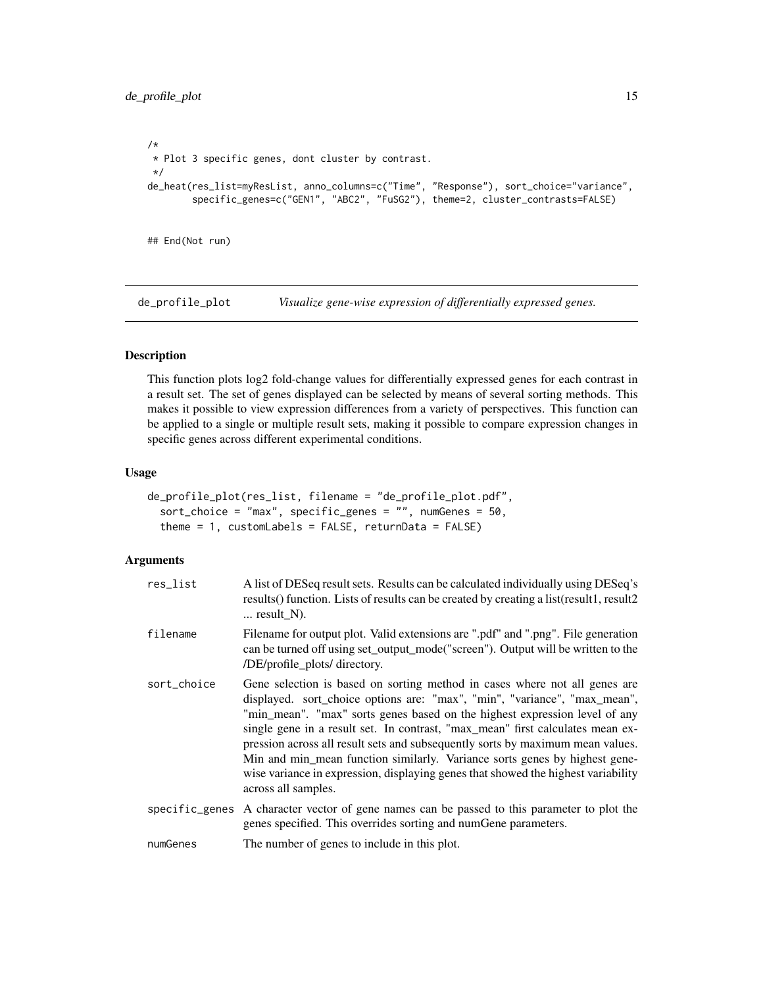```
/*
* Plot 3 specific genes, dont cluster by contrast.
*/
de_heat(res_list=myResList, anno_columns=c("Time", "Response"), sort_choice="variance",
        specific_genes=c("GEN1", "ABC2", "FuSG2"), theme=2, cluster_contrasts=FALSE)
```
## End(Not run)

de\_profile\_plot *Visualize gene-wise expression of differentially expressed genes.*

#### Description

This function plots log2 fold-change values for differentially expressed genes for each contrast in a result set. The set of genes displayed can be selected by means of several sorting methods. This makes it possible to view expression differences from a variety of perspectives. This function can be applied to a single or multiple result sets, making it possible to compare expression changes in specific genes across different experimental conditions.

#### Usage

```
de_profile_plot(res_list, filename = "de_profile_plot.pdf",
  sort_choice = "max", specific_genes = "", numGenes = 50,
  theme = 1, customLabels = FALSE, returnData = FALSE)
```

| res_list    | A list of DESeq result sets. Results can be calculated individually using DESeq's<br>results() function. Lists of results can be created by creating a list(result1, result2<br>$\ldots$ result $\rm N$ ).                                                                                                                                                                                                                                                                                                                                                                                          |
|-------------|-----------------------------------------------------------------------------------------------------------------------------------------------------------------------------------------------------------------------------------------------------------------------------------------------------------------------------------------------------------------------------------------------------------------------------------------------------------------------------------------------------------------------------------------------------------------------------------------------------|
| filename    | Filename for output plot. Valid extensions are ".pdf" and ".png". File generation<br>can be turned off using set_output_mode("screen"). Output will be written to the<br>/DE/profile_plots/ directory.                                                                                                                                                                                                                                                                                                                                                                                              |
| sort_choice | Gene selection is based on sorting method in cases where not all genes are<br>displayed. sort_choice options are: "max", "min", "variance", "max_mean",<br>"min_mean". "max" sorts genes based on the highest expression level of any<br>single gene in a result set. In contrast, "max_mean" first calculates mean ex-<br>pression across all result sets and subsequently sorts by maximum mean values.<br>Min and min_mean function similarly. Variance sorts genes by highest gene-<br>wise variance in expression, displaying genes that showed the highest variability<br>across all samples. |
|             | specific_genes A character vector of gene names can be passed to this parameter to plot the<br>genes specified. This overrides sorting and numGene parameters.                                                                                                                                                                                                                                                                                                                                                                                                                                      |
| numGenes    | The number of genes to include in this plot.                                                                                                                                                                                                                                                                                                                                                                                                                                                                                                                                                        |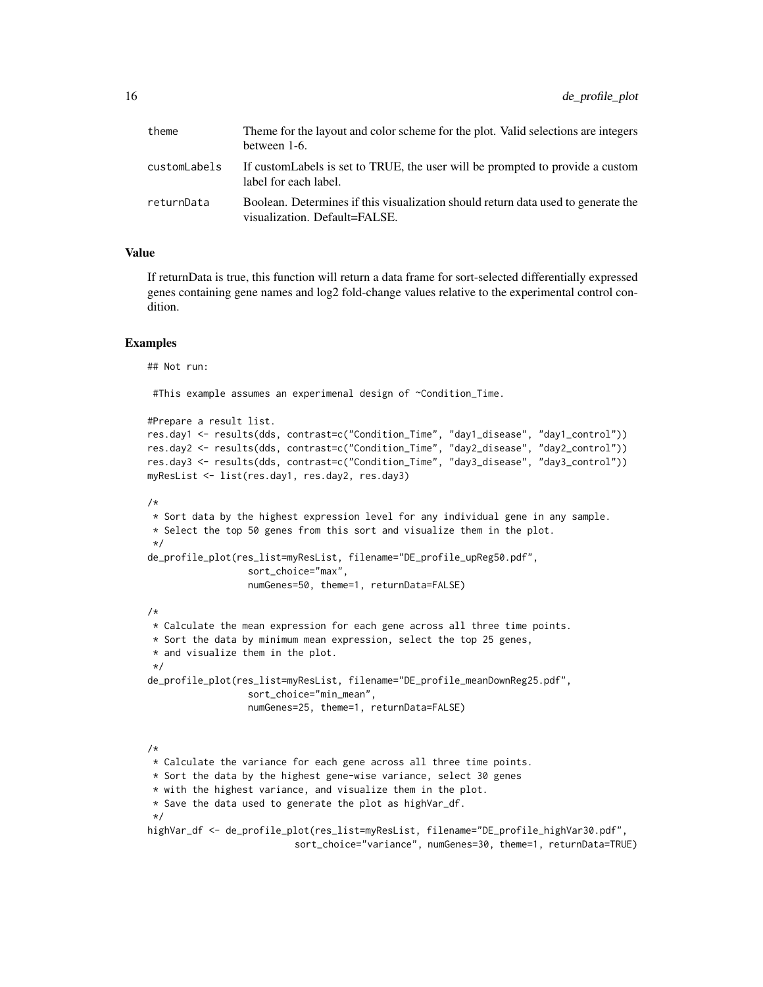| theme        | Theme for the layout and color scheme for the plot. Valid selections are integers<br>between 1-6.                  |
|--------------|--------------------------------------------------------------------------------------------------------------------|
| customLabels | If custom Labels is set to TRUE, the user will be prompted to provide a custom<br>label for each label.            |
| returnData   | Boolean. Determines if this visualization should return data used to generate the<br>visualization. Default=FALSE. |

#### Value

If returnData is true, this function will return a data frame for sort-selected differentially expressed genes containing gene names and log2 fold-change values relative to the experimental control condition.

#### Examples

## Not run:

#This example assumes an experimenal design of ~Condition\_Time.

```
#Prepare a result list.
res.day1 <- results(dds, contrast=c("Condition_Time", "day1_disease", "day1_control"))
res.day2 <- results(dds, contrast=c("Condition_Time", "day2_disease", "day2_control"))
res.day3 <- results(dds, contrast=c("Condition_Time", "day3_disease", "day3_control"))
myResList <- list(res.day1, res.day2, res.day3)
/*
* Sort data by the highest expression level for any individual gene in any sample.
* Select the top 50 genes from this sort and visualize them in the plot.
*/
de_profile_plot(res_list=myResList, filename="DE_profile_upReg50.pdf",
                  sort_choice="max",
                  numGenes=50, theme=1, returnData=FALSE)
/*
* Calculate the mean expression for each gene across all three time points.
* Sort the data by minimum mean expression, select the top 25 genes,
* and visualize them in the plot.
*/
de_profile_plot(res_list=myResList, filename="DE_profile_meanDownReg25.pdf",
                  sort_choice="min_mean",
                  numGenes=25, theme=1, returnData=FALSE)
/*
* Calculate the variance for each gene across all three time points.
* Sort the data by the highest gene-wise variance, select 30 genes
* with the highest variance, and visualize them in the plot.
* Save the data used to generate the plot as highVar_df.
*/
highVar_df <- de_profile_plot(res_list=myResList, filename="DE_profile_highVar30.pdf",
                          sort_choice="variance", numGenes=30, theme=1, returnData=TRUE)
```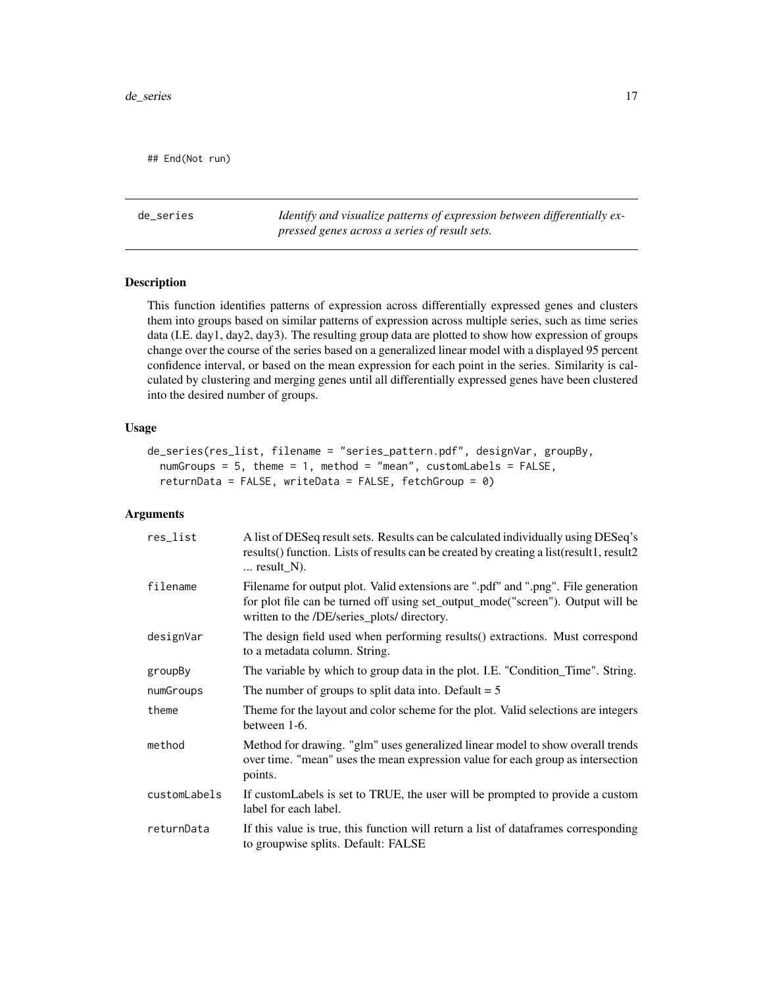<span id="page-16-0"></span>## End(Not run)

de\_series *Identify and visualize patterns of expression between differentially expressed genes across a series of result sets.*

#### Description

This function identifies patterns of expression across differentially expressed genes and clusters them into groups based on similar patterns of expression across multiple series, such as time series data (I.E. day1, day2, day3). The resulting group data are plotted to show how expression of groups change over the course of the series based on a generalized linear model with a displayed 95 percent confidence interval, or based on the mean expression for each point in the series. Similarity is calculated by clustering and merging genes until all differentially expressed genes have been clustered into the desired number of groups.

#### Usage

```
de_series(res_list, filename = "series_pattern.pdf", designVar, groupBy,
  numGroups = 5, theme = 1, method = "mean", customLabels = FALSE,
  returnData = FALSE, writeData = FALSE, fetchGroup = \theta)
```

| res_list     | A list of DESeq result sets. Results can be calculated individually using DESeq's<br>results() function. Lists of results can be created by creating a list(result1, result2<br>$\ldots$ result_N).                 |
|--------------|---------------------------------------------------------------------------------------------------------------------------------------------------------------------------------------------------------------------|
| filename     | Filename for output plot. Valid extensions are ".pdf" and ".png". File generation<br>for plot file can be turned off using set_output_mode("screen"). Output will be<br>written to the /DE/series_plots/ directory. |
| designVar    | The design field used when performing results() extractions. Must correspond<br>to a metadata column. String.                                                                                                       |
| groupBy      | The variable by which to group data in the plot. I.E. "Condition_Time". String.                                                                                                                                     |
| numGroups    | The number of groups to split data into. Default $= 5$                                                                                                                                                              |
| theme        | Theme for the layout and color scheme for the plot. Valid selections are integers<br>between 1-6.                                                                                                                   |
| method       | Method for drawing. "glm" uses generalized linear model to show overall trends<br>over time. "mean" uses the mean expression value for each group as intersection<br>points.                                        |
| customLabels | If custom Labels is set to TRUE, the user will be prompted to provide a custom<br>label for each label.                                                                                                             |
| returnData   | If this value is true, this function will return a list of dataframes corresponding<br>to groupwise splits. Default: FALSE                                                                                          |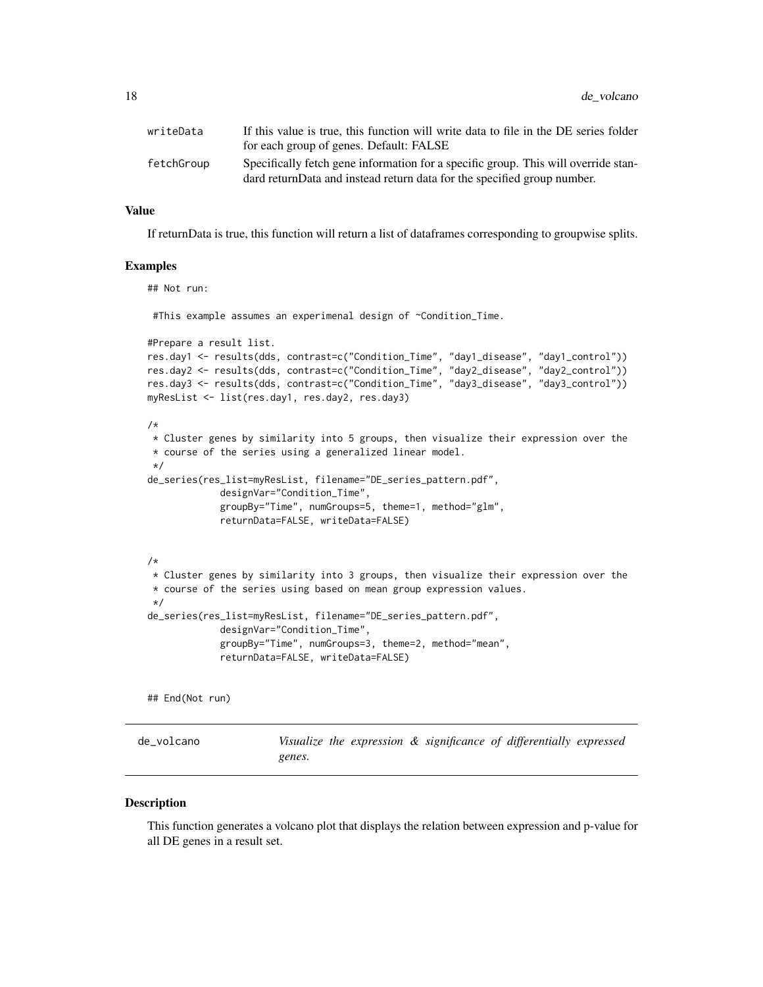<span id="page-17-0"></span>

| writeData  | If this value is true, this function will write data to file in the DE series folder |
|------------|--------------------------------------------------------------------------------------|
|            | for each group of genes. Default: FALSE                                              |
| fetchGroup | Specifically fetch gene information for a specific group. This will override stan-   |
|            | dard returnData and instead return data for the specified group number.              |

#### Value

If returnData is true, this function will return a list of dataframes corresponding to groupwise splits.

#### Examples

## Not run:

#This example assumes an experimenal design of ~Condition\_Time.

```
#Prepare a result list.
res.day1 <- results(dds, contrast=c("Condition_Time", "day1_disease", "day1_control"))
res.day2 <- results(dds, contrast=c("Condition_Time", "day2_disease", "day2_control"))
res.day3 <- results(dds, contrast=c("Condition_Time", "day3_disease", "day3_control"))
myResList <- list(res.day1, res.day2, res.day3)
```

```
/*
```

```
* Cluster genes by similarity into 5 groups, then visualize their expression over the
* course of the series using a generalized linear model.
*/
```

```
de_series(res_list=myResList, filename="DE_series_pattern.pdf",
            designVar="Condition_Time",
            groupBy="Time", numGroups=5, theme=1, method="glm",
            returnData=FALSE, writeData=FALSE)
```

```
/*
* Cluster genes by similarity into 3 groups, then visualize their expression over the
* course of the series using based on mean group expression values.
*/
de_series(res_list=myResList, filename="DE_series_pattern.pdf",
             designVar="Condition_Time",
             groupBy="Time", numGroups=3, theme=2, method="mean",
             returnData=FALSE, writeData=FALSE)
```
## End(Not run)

de\_volcano *Visualize the expression & significance of differentially expressed genes.*

#### **Description**

This function generates a volcano plot that displays the relation between expression and p-value for all DE genes in a result set.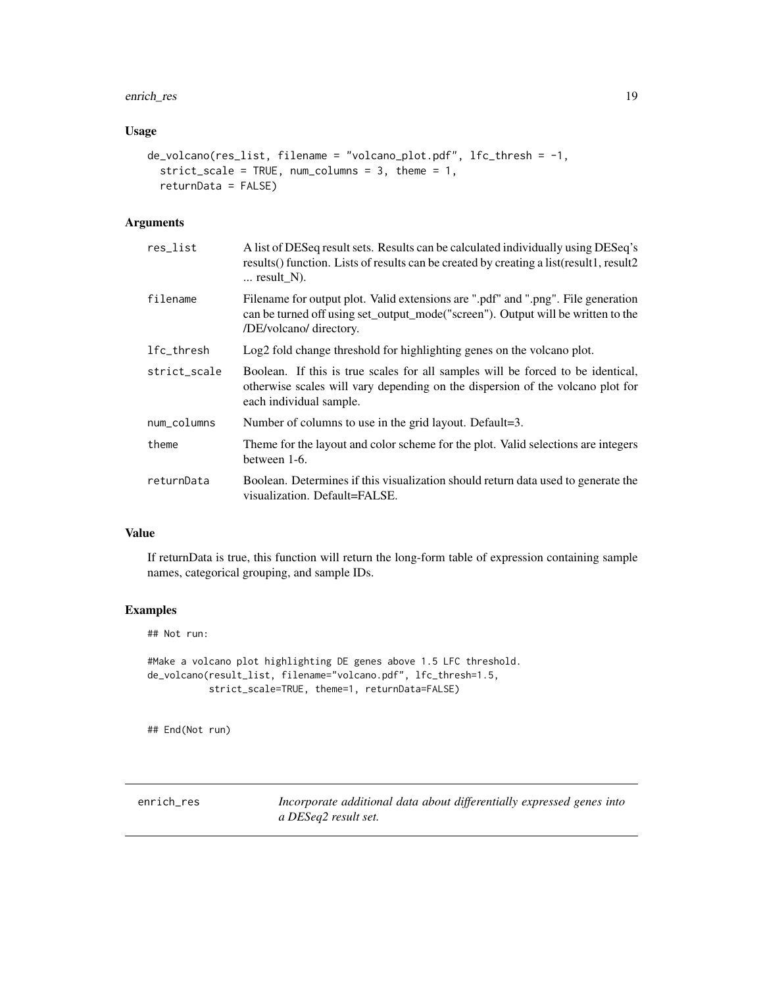#### <span id="page-18-0"></span>enrich\_res 19

#### Usage

```
de_volcano(res_list, filename = "volcano_plot.pdf", lfc_thresh = -1,
  strict_scale = TRUE, num_columns = 3, theme = 1,
  returnData = FALSE)
```
#### Arguments

| res_list     | A list of DESeq result sets. Results can be calculated individually using DESeq's<br>results() function. Lists of results can be created by creating a list(result1, result2<br>$\ldots$ result_N). |
|--------------|-----------------------------------------------------------------------------------------------------------------------------------------------------------------------------------------------------|
| filename     | Filename for output plot. Valid extensions are ".pdf" and ".png". File generation<br>can be turned off using set_output_mode("screen"). Output will be written to the<br>/DE/volcano/ directory.    |
| lfc_thresh   | Log2 fold change threshold for highlighting genes on the volcano plot.                                                                                                                              |
| strict_scale | Boolean. If this is true scales for all samples will be forced to be identical,<br>otherwise scales will vary depending on the dispersion of the volcano plot for<br>each individual sample.        |
| num_columns  | Number of columns to use in the grid layout. Default=3.                                                                                                                                             |
| theme        | Theme for the layout and color scheme for the plot. Valid selections are integers<br>between 1-6.                                                                                                   |
| returnData   | Boolean. Determines if this visualization should return data used to generate the<br>visualization. Default=FALSE.                                                                                  |

#### Value

If returnData is true, this function will return the long-form table of expression containing sample names, categorical grouping, and sample IDs.

#### Examples

## Not run:

#Make a volcano plot highlighting DE genes above 1.5 LFC threshold. de\_volcano(result\_list, filename="volcano.pdf", lfc\_thresh=1.5, strict\_scale=TRUE, theme=1, returnData=FALSE)

## End(Not run)

enrich\_res *Incorporate additional data about differentially expressed genes into a DESeq2 result set.*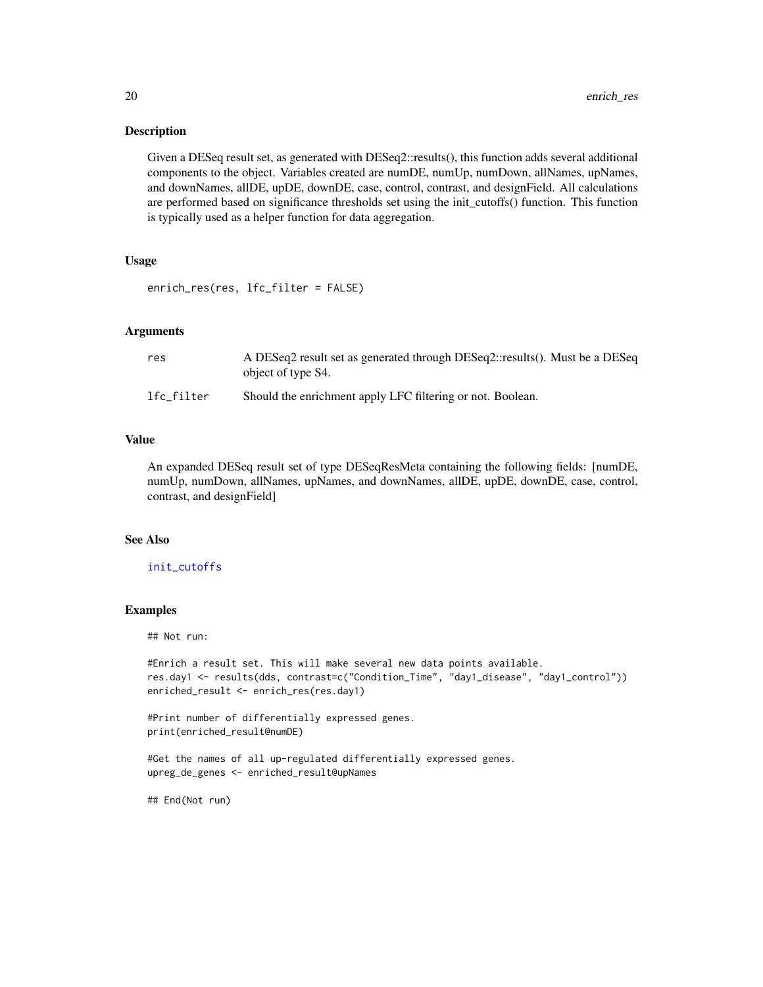#### **Description**

Given a DESeq result set, as generated with DESeq2::results(), this function adds several additional components to the object. Variables created are numDE, numUp, numDown, allNames, upNames, and downNames, allDE, upDE, downDE, case, control, contrast, and designField. All calculations are performed based on significance thresholds set using the init\_cutoffs() function. This function is typically used as a helper function for data aggregation.

#### Usage

```
enrich_res(res, lfc_filter = FALSE)
```
#### Arguments

| res        | A DESeq2 result set as generated through DESeq2::results(). Must be a DESeq<br>object of type S4. |
|------------|---------------------------------------------------------------------------------------------------|
| lfc filter | Should the enrichment apply LFC filtering or not. Boolean.                                        |

#### Value

An expanded DESeq result set of type DESeqResMeta containing the following fields: [numDE, numUp, numDown, allNames, upNames, and downNames, allDE, upDE, downDE, case, control, contrast, and designField]

#### See Also

[init\\_cutoffs](#page-23-2)

#### Examples

## Not run:

```
#Enrich a result set. This will make several new data points available.
res.day1 <- results(dds, contrast=c("Condition_Time", "day1_disease", "day1_control"))
enriched_result <- enrich_res(res.day1)
```

```
#Print number of differentially expressed genes.
print(enriched_result@numDE)
```

```
#Get the names of all up-regulated differentially expressed genes.
upreg_de_genes <- enriched_result@upNames
```
## End(Not run)

<span id="page-19-0"></span>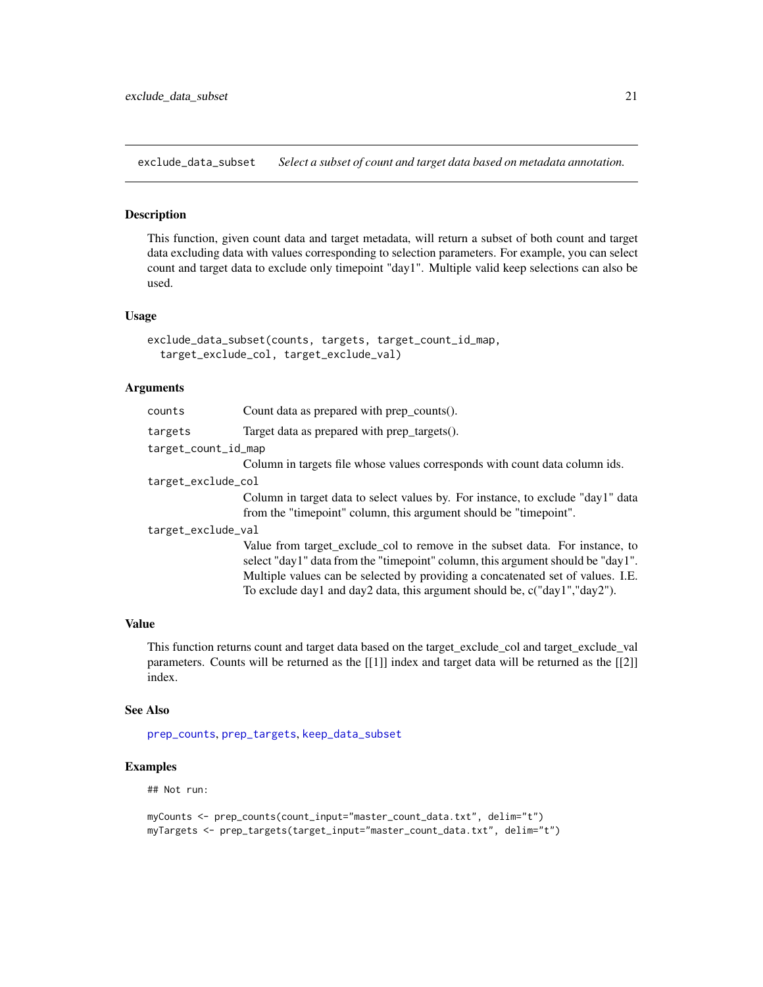<span id="page-20-1"></span><span id="page-20-0"></span>exclude\_data\_subset *Select a subset of count and target data based on metadata annotation.*

#### Description

This function, given count data and target metadata, will return a subset of both count and target data excluding data with values corresponding to selection parameters. For example, you can select count and target data to exclude only timepoint "day1". Multiple valid keep selections can also be used.

#### Usage

```
exclude_data_subset(counts, targets, target_count_id_map,
  target_exclude_col, target_exclude_val)
```
#### Arguments

| counts              | Count data as prepared with prep_counts().                                                                                                                                                                                                                                                                                         |  |
|---------------------|------------------------------------------------------------------------------------------------------------------------------------------------------------------------------------------------------------------------------------------------------------------------------------------------------------------------------------|--|
| targets             | Target data as prepared with prep_targets().                                                                                                                                                                                                                                                                                       |  |
| target_count_id_map |                                                                                                                                                                                                                                                                                                                                    |  |
|                     | Column in targets file whose values corresponds with count data column ids.                                                                                                                                                                                                                                                        |  |
| target_exclude_col  |                                                                                                                                                                                                                                                                                                                                    |  |
|                     | Column in target data to select values by. For instance, to exclude "day1" data                                                                                                                                                                                                                                                    |  |
|                     | from the "timepoint" column, this argument should be "timepoint".                                                                                                                                                                                                                                                                  |  |
| target_exclude_val  |                                                                                                                                                                                                                                                                                                                                    |  |
|                     | Value from target_exclude_col to remove in the subset data. For instance, to<br>select "day1" data from the "timepoint" column, this argument should be "day1".<br>Multiple values can be selected by providing a concatenated set of values. I.E.<br>To exclude day1 and day2 data, this argument should be, $c("day1", "day2").$ |  |
|                     |                                                                                                                                                                                                                                                                                                                                    |  |

#### Value

This function returns count and target data based on the target\_exclude\_col and target\_exclude\_val parameters. Counts will be returned as the [[1]] index and target data will be returned as the [[2]] index.

#### See Also

[prep\\_counts](#page-36-1), [prep\\_targets](#page-38-1), [keep\\_data\\_subset](#page-24-1)

#### Examples

## Not run:

```
myCounts <- prep_counts(count_input="master_count_data.txt", delim="t")
myTargets <- prep_targets(target_input="master_count_data.txt", delim="t")
```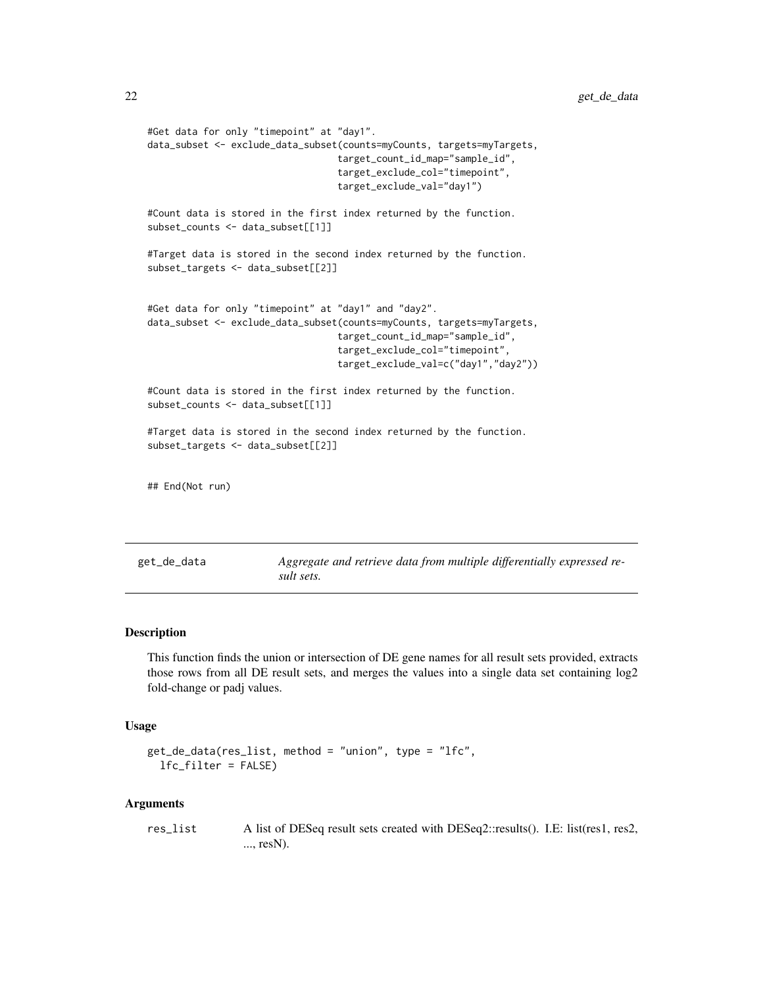```
#Get data for only "timepoint" at "day1".
data_subset <- exclude_data_subset(counts=myCounts, targets=myTargets,
                                  target_count_id_map="sample_id",
                                  target_exclude_col="timepoint",
                                  target_exclude_val="day1")
#Count data is stored in the first index returned by the function.
subset_counts <- data_subset[[1]]
#Target data is stored in the second index returned by the function.
subset_targets <- data_subset[[2]]
#Get data for only "timepoint" at "day1" and "day2".
data_subset <- exclude_data_subset(counts=myCounts, targets=myTargets,
                                  target_count_id_map="sample_id",
                                  target_exclude_col="timepoint",
                                  target_exclude_val=c("day1","day2"))
#Count data is stored in the first index returned by the function.
subset_counts <- data_subset[[1]]
#Target data is stored in the second index returned by the function.
subset_targets <- data_subset[[2]]
## End(Not run)
```
get\_de\_data *Aggregate and retrieve data from multiple differentially expressed result sets.*

#### Description

This function finds the union or intersection of DE gene names for all result sets provided, extracts those rows from all DE result sets, and merges the values into a single data set containing log2 fold-change or padj values.

#### Usage

```
get_de_data(res_list, method = "union", type = "lfc",
  lfc_filter = FALSE)
```

```
res_list A list of DESeq result sets created with DESeq2::results(). I.E: list(res1, res2,
                  ..., resN).
```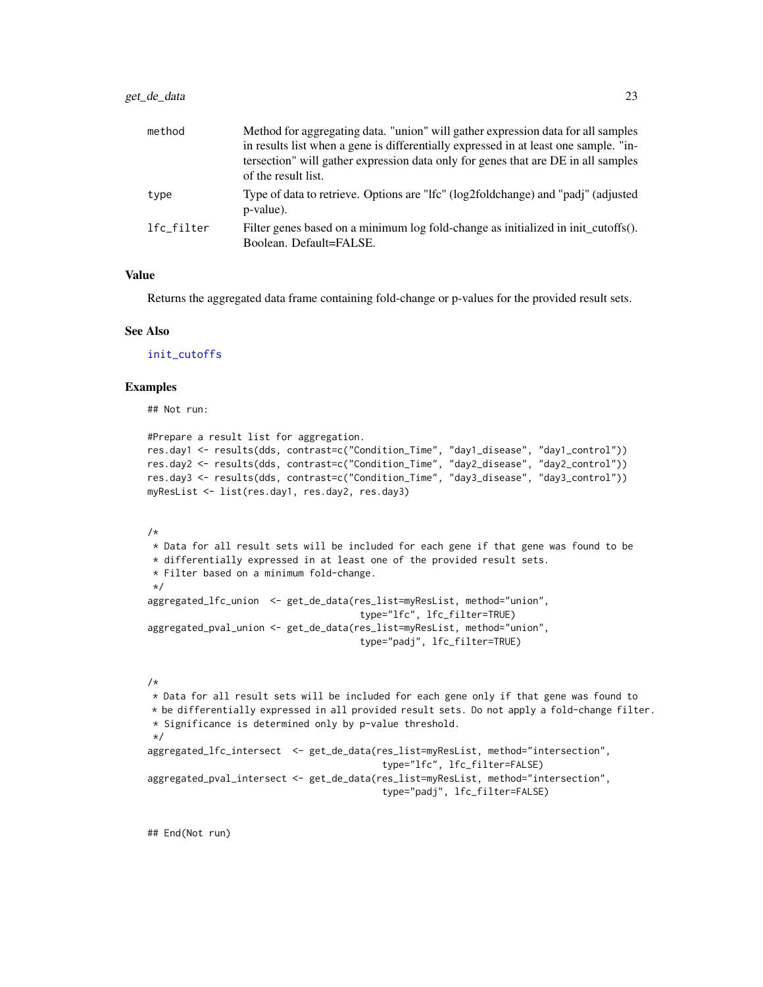<span id="page-22-0"></span>

| method     | Method for aggregating data. "union" will gather expression data for all samples<br>in results list when a gene is differentially expressed in at least one sample. "in-<br>tersection" will gather expression data only for genes that are DE in all samples<br>of the result list. |
|------------|--------------------------------------------------------------------------------------------------------------------------------------------------------------------------------------------------------------------------------------------------------------------------------------|
| type       | Type of data to retrieve. Options are "Ifc" (log2foldchange) and "padj" (adjusted<br>p-value).                                                                                                                                                                                       |
| lfc filter | Filter genes based on a minimum log fold-change as initialized in init cutoffs().<br>Boolean. Default=FALSE.                                                                                                                                                                         |

#### Value

Returns the aggregated data frame containing fold-change or p-values for the provided result sets.

#### See Also

[init\\_cutoffs](#page-23-2)

#### Examples

## Not run:

```
#Prepare a result list for aggregation.
res.day1 <- results(dds, contrast=c("Condition_Time", "day1_disease", "day1_control"))
res.day2 <- results(dds, contrast=c("Condition_Time", "day2_disease", "day2_control"))
res.day3 <- results(dds, contrast=c("Condition_Time", "day3_disease", "day3_control"))
myResList <- list(res.day1, res.day2, res.day3)
```
#### /\*

```
* Data for all result sets will be included for each gene if that gene was found to be
* differentially expressed in at least one of the provided result sets.
* Filter based on a minimum fold-change.
*/
aggregated_lfc_union <- get_de_data(res_list=myResList, method="union",
                                     type="lfc", lfc_filter=TRUE)
aggregated_pval_union <- get_de_data(res_list=myResList, method="union",
                                     type="padj", lfc_filter=TRUE)
```
#### /\*

\* Data for all result sets will be included for each gene only if that gene was found to \* be differentially expressed in all provided result sets. Do not apply a fold-change filter. \* Significance is determined only by p-value threshold. \*/ aggregated\_lfc\_intersect <- get\_de\_data(res\_list=myResList, method="intersection", type="lfc", lfc\_filter=FALSE) aggregated\_pval\_intersect <- get\_de\_data(res\_list=myResList, method="intersection", type="padj", lfc\_filter=FALSE)

## End(Not run)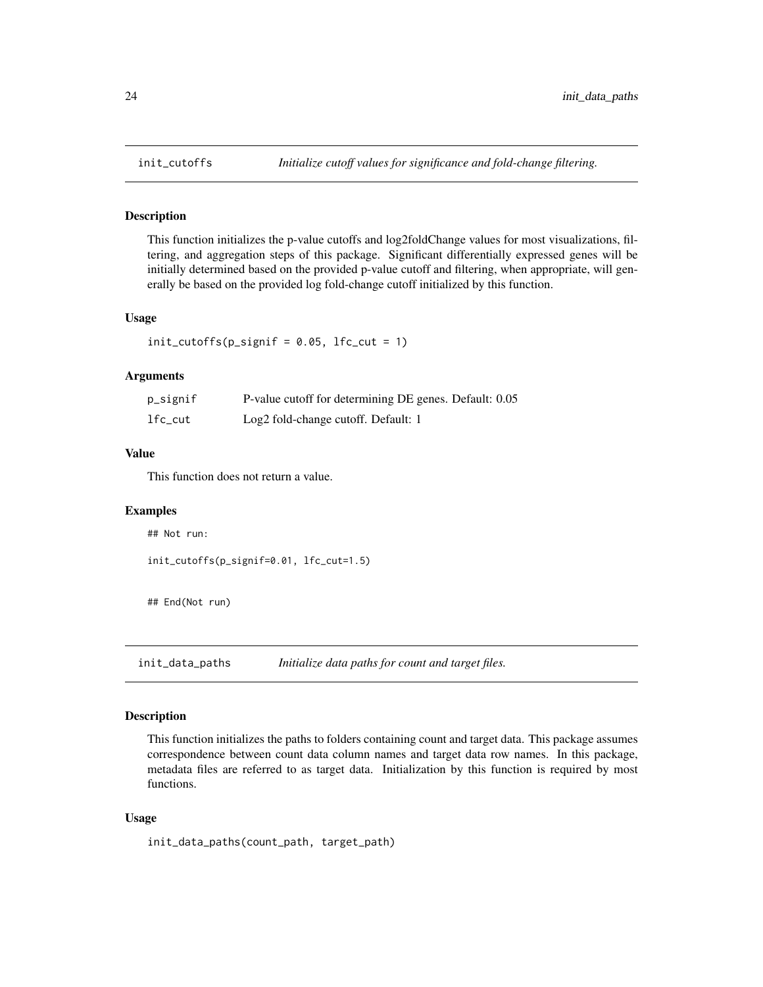#### Description

This function initializes the p-value cutoffs and log2foldChange values for most visualizations, filtering, and aggregation steps of this package. Significant differentially expressed genes will be initially determined based on the provided p-value cutoff and filtering, when appropriate, will generally be based on the provided log fold-change cutoff initialized by this function.

#### Usage

 $init\_cutoffs(p_signif = 0.05, 1fc_cut = 1)$ 

#### Arguments

| p_signif | P-value cutoff for determining DE genes. Default: 0.05 |
|----------|--------------------------------------------------------|
| lfc_cut  | Log2 fold-change cutoff. Default: 1                    |

#### Value

This function does not return a value.

#### Examples

## Not run:

init\_cutoffs(p\_signif=0.01, lfc\_cut=1.5)

## End(Not run)

<span id="page-23-1"></span>init\_data\_paths *Initialize data paths for count and target files.*

#### Description

This function initializes the paths to folders containing count and target data. This package assumes correspondence between count data column names and target data row names. In this package, metadata files are referred to as target data. Initialization by this function is required by most functions.

#### Usage

init\_data\_paths(count\_path, target\_path)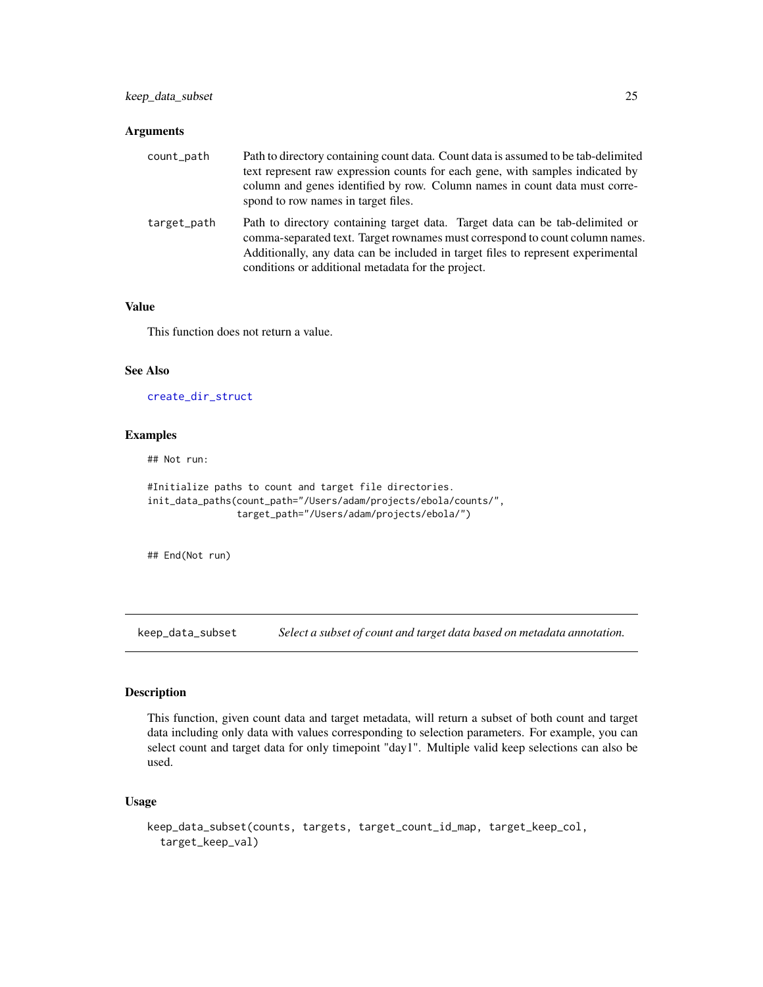#### <span id="page-24-0"></span>Arguments

| count_path  | Path to directory containing count data. Count data is assumed to be tab-delimited<br>text represent raw expression counts for each gene, with samples indicated by<br>column and genes identified by row. Column names in count data must corre-<br>spond to row names in target files.                |
|-------------|---------------------------------------------------------------------------------------------------------------------------------------------------------------------------------------------------------------------------------------------------------------------------------------------------------|
| target_path | Path to directory containing target data. Target data can be tab-delimited or<br>comma-separated text. Target rownames must correspond to count column names.<br>Additionally, any data can be included in target files to represent experimental<br>conditions or additional metadata for the project. |

#### Value

This function does not return a value.

#### See Also

[create\\_dir\\_struct](#page-1-1)

#### Examples

## Not run:

```
#Initialize paths to count and target file directories.
init_data_paths(count_path="/Users/adam/projects/ebola/counts/",
                target_path="/Users/adam/projects/ebola/")
```
## End(Not run)

<span id="page-24-1"></span>keep\_data\_subset *Select a subset of count and target data based on metadata annotation.*

#### Description

This function, given count data and target metadata, will return a subset of both count and target data including only data with values corresponding to selection parameters. For example, you can select count and target data for only timepoint "day1". Multiple valid keep selections can also be used.

#### Usage

```
keep_data_subset(counts, targets, target_count_id_map, target_keep_col,
  target_keep_val)
```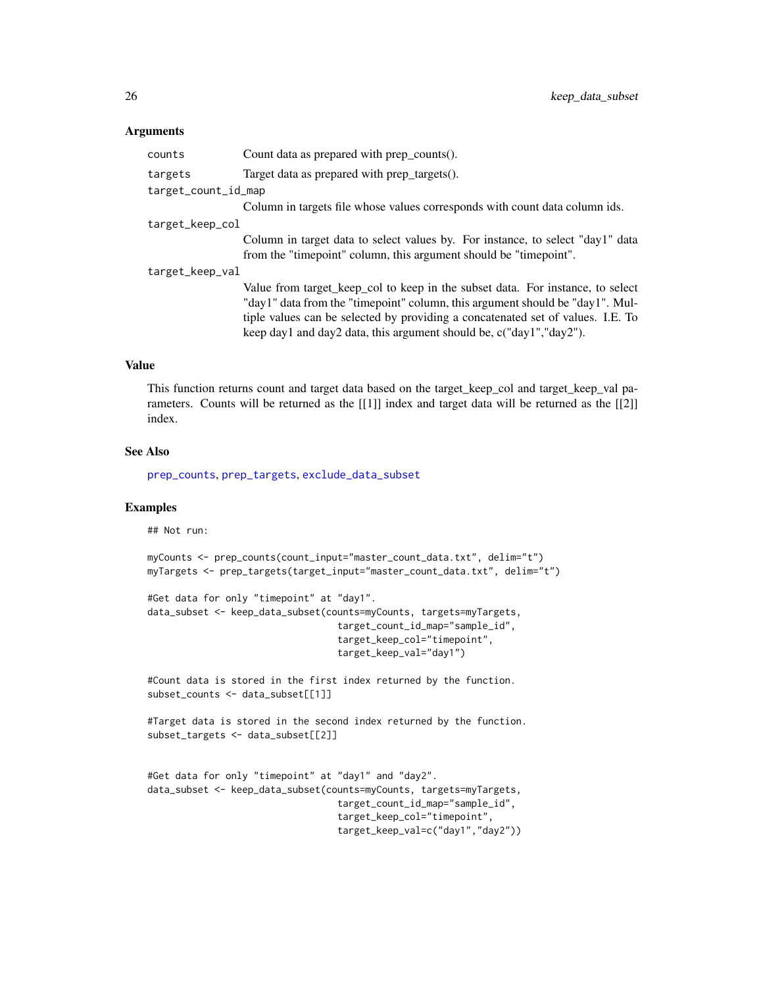#### <span id="page-25-0"></span>**Arguments**

| counts              | Count data as prepared with prep_counts().                                      |
|---------------------|---------------------------------------------------------------------------------|
| targets             | Target data as prepared with prep_targets().                                    |
| target_count_id_map |                                                                                 |
|                     | Column in targets file whose values corresponds with count data column ids.     |
| target_keep_col     |                                                                                 |
|                     | Column in target data to select values by. For instance, to select "day1" data  |
|                     | from the "timepoint" column, this argument should be "timepoint".               |
| target_keep_val     |                                                                                 |
|                     | Value from target_keep_col to keep in the subset data. For instance, to select  |
|                     | "day1" data from the "timepoint" column, this argument should be "day1". Mul-   |
|                     | tiple values can be selected by providing a concatenated set of values. I.E. To |
|                     | keep day1 and day2 data, this argument should be, c("day1","day2").             |
|                     |                                                                                 |

#### Value

This function returns count and target data based on the target\_keep\_col and target\_keep\_val parameters. Counts will be returned as the [[1]] index and target data will be returned as the [[2]] index.

#### See Also

[prep\\_counts](#page-36-1), [prep\\_targets](#page-38-1), [exclude\\_data\\_subset](#page-20-1)

#### Examples

## Not run:

```
myCounts <- prep_counts(count_input="master_count_data.txt", delim="t")
myTargets <- prep_targets(target_input="master_count_data.txt", delim="t")
```

```
#Get data for only "timepoint" at "day1".
data_subset <- keep_data_subset(counts=myCounts, targets=myTargets,
                                  target_count_id_map="sample_id",
                                  target_keep_col="timepoint",
                                  target_keep_val="day1")
```
#Count data is stored in the first index returned by the function. subset\_counts <- data\_subset[[1]]

```
#Target data is stored in the second index returned by the function.
subset_targets <- data_subset[[2]]
```

```
#Get data for only "timepoint" at "day1" and "day2".
data_subset <- keep_data_subset(counts=myCounts, targets=myTargets,
                                  target_count_id_map="sample_id",
                                  target_keep_col="timepoint",
                                  target_keep_val=c("day1","day2"))
```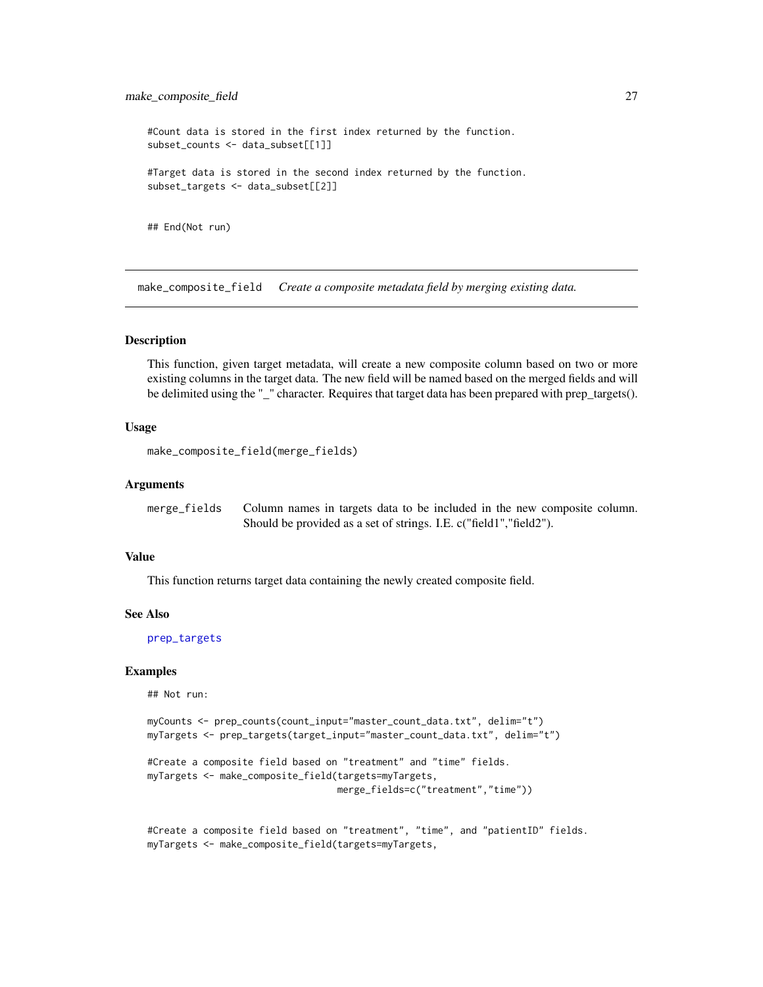<span id="page-26-0"></span>#Count data is stored in the first index returned by the function. subset\_counts <- data\_subset[[1]] #Target data is stored in the second index returned by the function. subset\_targets <- data\_subset[[2]] ## End(Not run)

make\_composite\_field *Create a composite metadata field by merging existing data.*

#### Description

This function, given target metadata, will create a new composite column based on two or more existing columns in the target data. The new field will be named based on the merged fields and will be delimited using the "\_" character. Requires that target data has been prepared with prep\_targets().

#### Usage

```
make_composite_field(merge_fields)
```
#### Arguments

| merge_fields | Column names in targets data to be included in the new composite column. |
|--------------|--------------------------------------------------------------------------|
|              | Should be provided as a set of strings. I.E. c("field1","field2").       |

#### Value

This function returns target data containing the newly created composite field.

#### See Also

[prep\\_targets](#page-38-1)

#### Examples

## Not run:

```
myCounts <- prep_counts(count_input="master_count_data.txt", delim="t")
myTargets <- prep_targets(target_input="master_count_data.txt", delim="t")
```

```
#Create a composite field based on "treatment" and "time" fields.
myTargets <- make_composite_field(targets=myTargets,
                                  merge_fields=c("treatment","time"))
```
#Create a composite field based on "treatment", "time", and "patientID" fields. myTargets <- make\_composite\_field(targets=myTargets,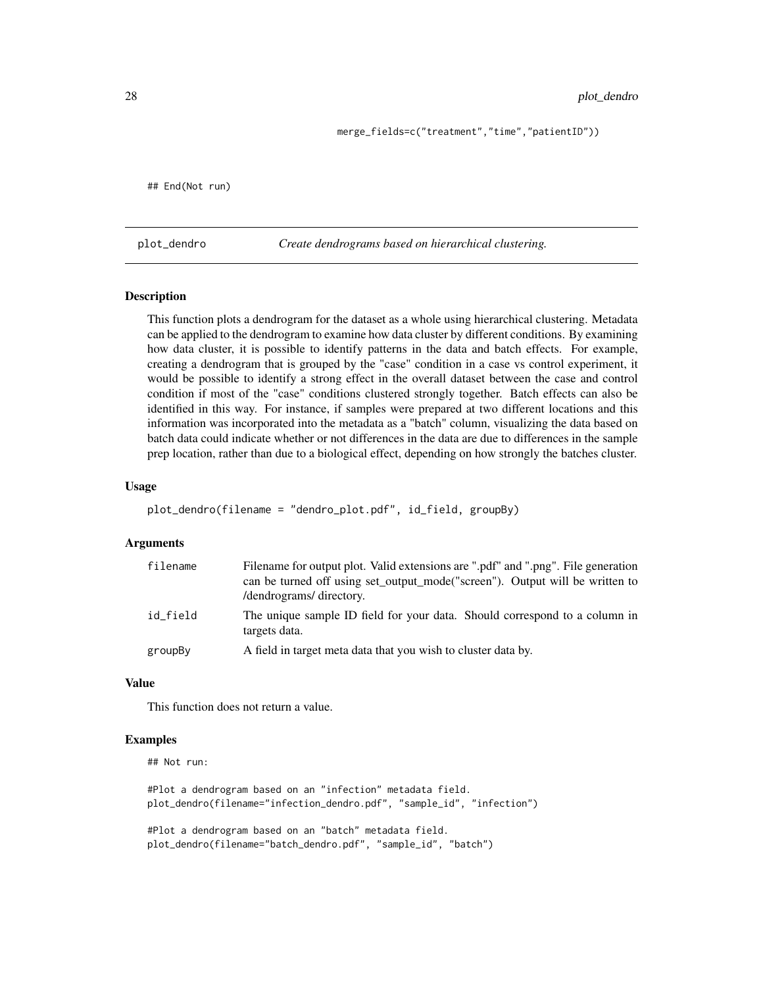merge\_fields=c("treatment","time","patientID"))

<span id="page-27-0"></span>## End(Not run)

plot\_dendro *Create dendrograms based on hierarchical clustering.*

#### **Description**

This function plots a dendrogram for the dataset as a whole using hierarchical clustering. Metadata can be applied to the dendrogram to examine how data cluster by different conditions. By examining how data cluster, it is possible to identify patterns in the data and batch effects. For example, creating a dendrogram that is grouped by the "case" condition in a case vs control experiment, it would be possible to identify a strong effect in the overall dataset between the case and control condition if most of the "case" conditions clustered strongly together. Batch effects can also be identified in this way. For instance, if samples were prepared at two different locations and this information was incorporated into the metadata as a "batch" column, visualizing the data based on batch data could indicate whether or not differences in the data are due to differences in the sample prep location, rather than due to a biological effect, depending on how strongly the batches cluster.

#### Usage

```
plot_dendro(filename = "dendro_plot.pdf", id_field, groupBy)
```
#### Arguments

| filename | Filename for output plot. Valid extensions are ".pdf" and ".png". File generation<br>can be turned off using set_output_mode("screen"). Output will be written to<br>/dendrograms/ directory. |
|----------|-----------------------------------------------------------------------------------------------------------------------------------------------------------------------------------------------|
| id_field | The unique sample ID field for your data. Should correspond to a column in<br>targets data.                                                                                                   |
| groupBy  | A field in target meta data that you wish to cluster data by.                                                                                                                                 |

#### Value

This function does not return a value.

#### Examples

## Not run:

#Plot a dendrogram based on an "infection" metadata field. plot\_dendro(filename="infection\_dendro.pdf", "sample\_id", "infection")

#Plot a dendrogram based on an "batch" metadata field. plot\_dendro(filename="batch\_dendro.pdf", "sample\_id", "batch")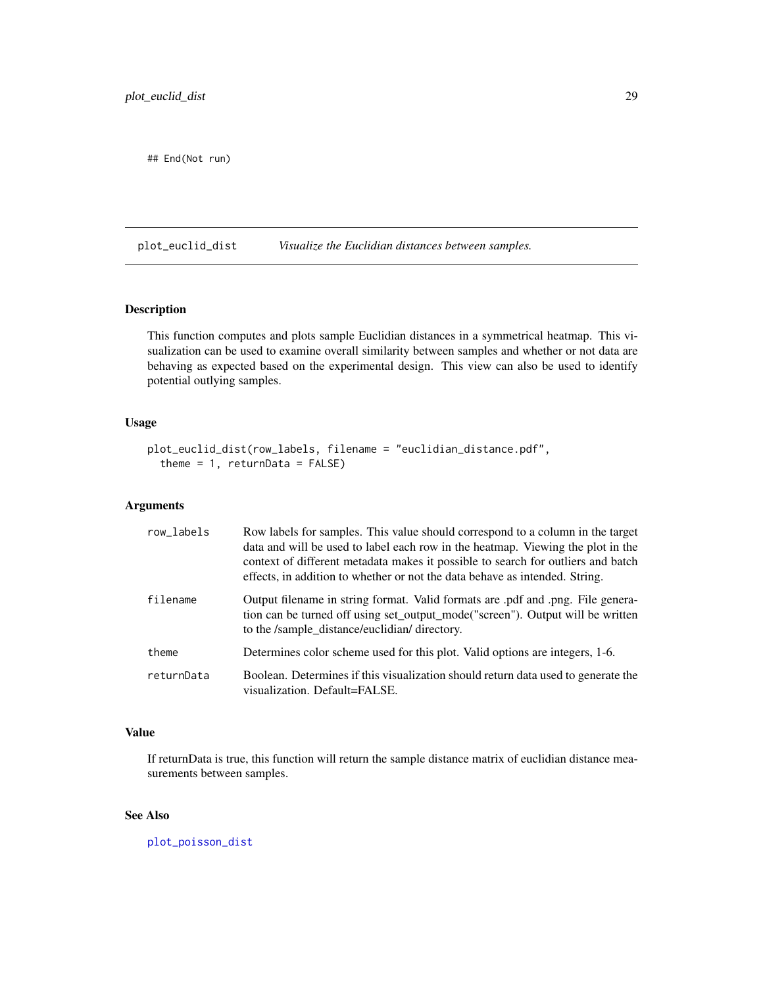```
## End(Not run)
```
<span id="page-28-1"></span>plot\_euclid\_dist *Visualize the Euclidian distances between samples.*

#### Description

This function computes and plots sample Euclidian distances in a symmetrical heatmap. This visualization can be used to examine overall similarity between samples and whether or not data are behaving as expected based on the experimental design. This view can also be used to identify potential outlying samples.

#### Usage

```
plot_euclid_dist(row_labels, filename = "euclidian_distance.pdf",
  theme = 1, returnData = FALSE)
```
#### Arguments

| row_labels | Row labels for samples. This value should correspond to a column in the target<br>data and will be used to label each row in the heatmap. Viewing the plot in the<br>context of different metadata makes it possible to search for outliers and batch<br>effects, in addition to whether or not the data behave as intended. String. |
|------------|--------------------------------------------------------------------------------------------------------------------------------------------------------------------------------------------------------------------------------------------------------------------------------------------------------------------------------------|
| filename   | -Output filename in string format. Valid formats are .pdf and .png. File genera-<br>tion can be turned off using set_output_mode("screen"). Output will be written<br>to the /sample distance/euclidian/ directory.                                                                                                                  |
| theme      | Determines color scheme used for this plot. Valid options are integers, 1-6.                                                                                                                                                                                                                                                         |
| returnData | Boolean. Determines if this visualization should return data used to generate the<br>visualization. Default=FALSE.                                                                                                                                                                                                                   |

#### Value

If returnData is true, this function will return the sample distance matrix of euclidian distance measurements between samples.

#### See Also

[plot\\_poisson\\_dist](#page-34-1)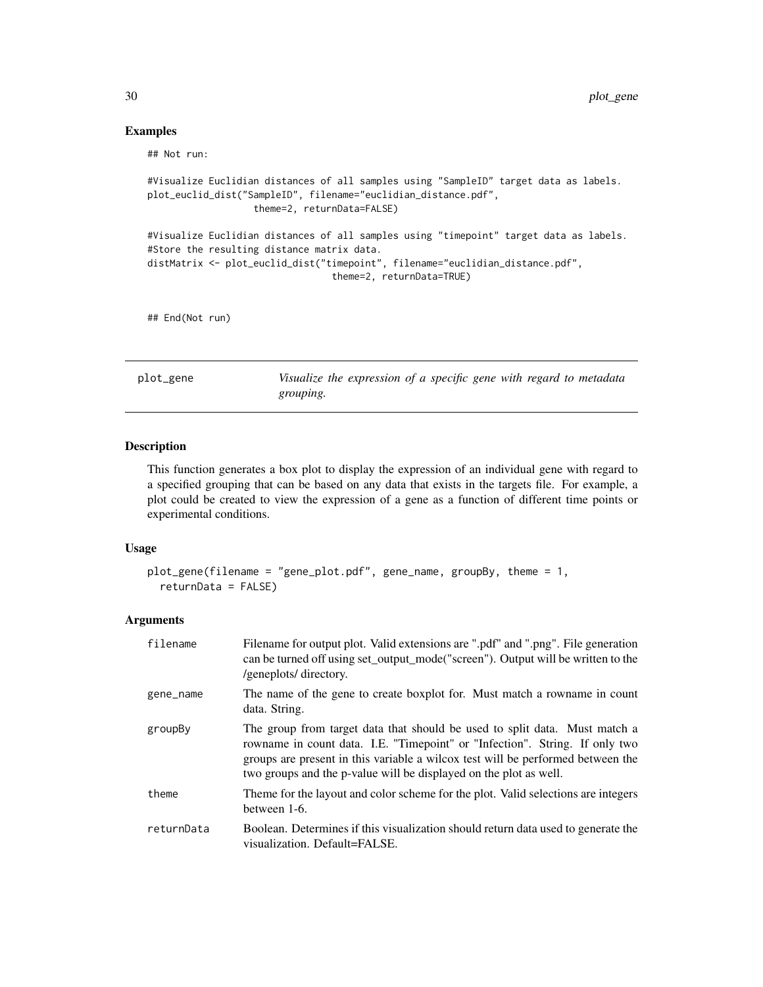#### Examples

## Not run:

```
#Visualize Euclidian distances of all samples using "SampleID" target data as labels.
plot_euclid_dist("SampleID", filename="euclidian_distance.pdf",
                   theme=2, returnData=FALSE)
#Visualize Euclidian distances of all samples using "timepoint" target data as labels.
#Store the resulting distance matrix data.
distMatrix <- plot_euclid_dist("timepoint", filename="euclidian_distance.pdf",
                                 theme=2, returnData=TRUE)
```
## End(Not run)

plot\_gene *Visualize the expression of a specific gene with regard to metadata grouping.*

#### Description

This function generates a box plot to display the expression of an individual gene with regard to a specified grouping that can be based on any data that exists in the targets file. For example, a plot could be created to view the expression of a gene as a function of different time points or experimental conditions.

#### Usage

```
plot_gene(filename = "gene_plot.pdf", gene_name, groupBy, theme = 1,
  returnData = FALSE)
```

| filename   | Filename for output plot. Valid extensions are ".pdf" and ".png". File generation<br>can be turned off using set_output_mode("screen"). Output will be written to the<br>/geneplots/ directory.                                                                                                                   |
|------------|-------------------------------------------------------------------------------------------------------------------------------------------------------------------------------------------------------------------------------------------------------------------------------------------------------------------|
| gene_name  | The name of the gene to create boxplot for. Must match a rowname in count<br>data. String.                                                                                                                                                                                                                        |
| groupBy    | The group from target data that should be used to split data. Must match a<br>rowname in count data. I.E. "Timepoint" or "Infection". String. If only two<br>groups are present in this variable a wilcox test will be performed between the<br>two groups and the p-value will be displayed on the plot as well. |
| theme      | Theme for the layout and color scheme for the plot. Valid selections are integers<br>between 1-6.                                                                                                                                                                                                                 |
| returnData | Boolean. Determines if this visualization should return data used to generate the<br>visualization. Default=FALSE.                                                                                                                                                                                                |

<span id="page-29-0"></span>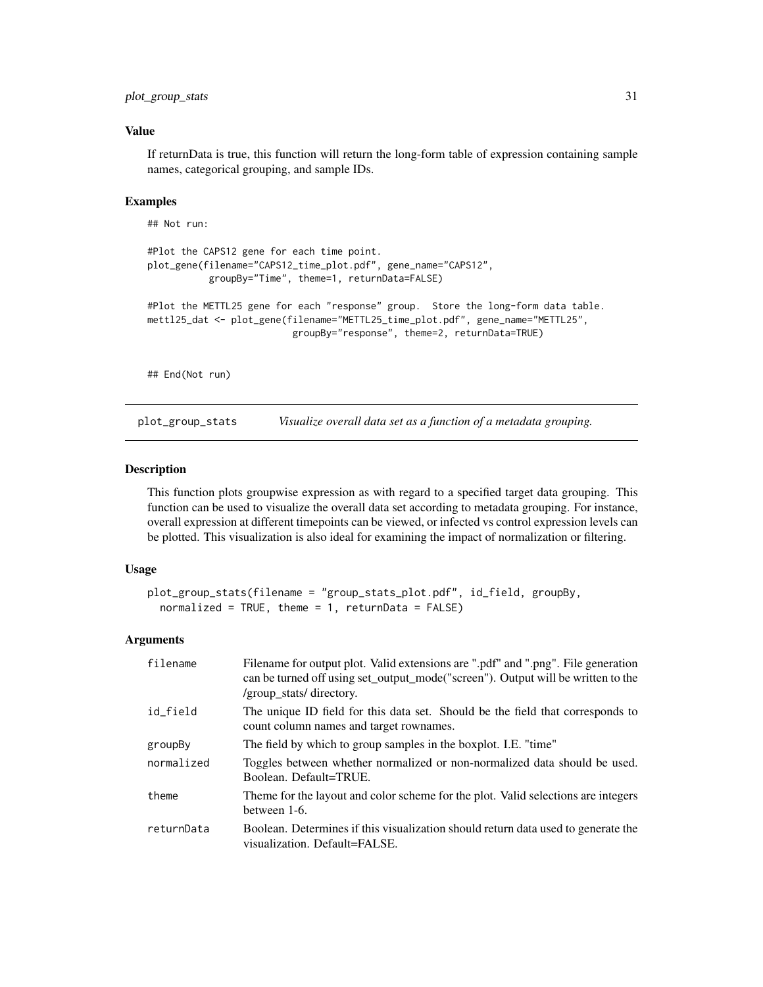#### <span id="page-30-0"></span>Value

If returnData is true, this function will return the long-form table of expression containing sample names, categorical grouping, and sample IDs.

#### Examples

```
## Not run:
#Plot the CAPS12 gene for each time point.
plot_gene(filename="CAPS12_time_plot.pdf", gene_name="CAPS12",
          groupBy="Time", theme=1, returnData=FALSE)
#Plot the METTL25 gene for each "response" group. Store the long-form data table.
mettl25_dat <- plot_gene(filename="METTL25_time_plot.pdf", gene_name="METTL25",
                          groupBy="response", theme=2, returnData=TRUE)
## End(Not run)
```
plot\_group\_stats *Visualize overall data set as a function of a metadata grouping.*

#### **Description**

This function plots groupwise expression as with regard to a specified target data grouping. This function can be used to visualize the overall data set according to metadata grouping. For instance, overall expression at different timepoints can be viewed, or infected vs control expression levels can be plotted. This visualization is also ideal for examining the impact of normalization or filtering.

#### Usage

```
plot_group_stats(filename = "group_stats_plot.pdf", id_field, groupBy,
 normalized = TRUE, theme = 1, returnData = FALSE)
```

| filename   | Filename for output plot. Valid extensions are ".pdf" and ".png". File generation<br>can be turned off using set_output_mode("screen"). Output will be written to the<br>/group_stats/ directory. |
|------------|---------------------------------------------------------------------------------------------------------------------------------------------------------------------------------------------------|
| id field   | The unique ID field for this data set. Should be the field that corresponds to<br>count column names and target rownames.                                                                         |
| groupBy    | The field by which to group samples in the boxplot. I.E. "time"                                                                                                                                   |
| normalized | Toggles between whether normalized or non-normalized data should be used.<br>Boolean. Default=TRUE.                                                                                               |
| theme      | Theme for the layout and color scheme for the plot. Valid selections are integers<br>between 1-6.                                                                                                 |
| returnData | Boolean. Determines if this visualization should return data used to generate the<br>visualization. Default=FALSE.                                                                                |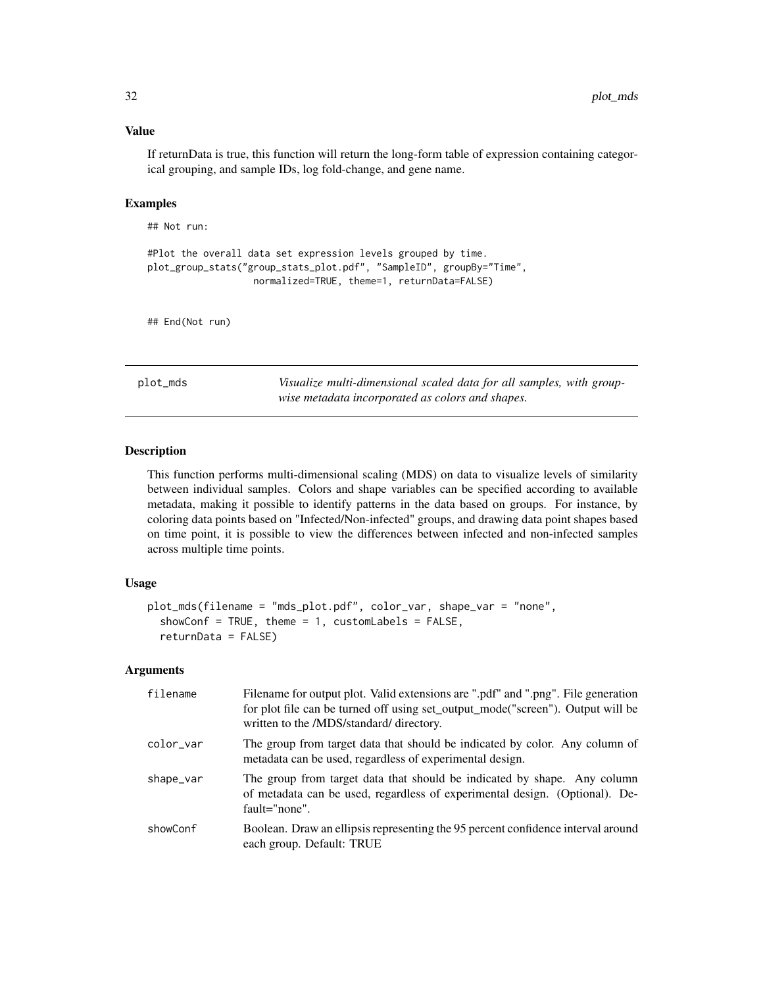#### <span id="page-31-0"></span>Value

If returnData is true, this function will return the long-form table of expression containing categorical grouping, and sample IDs, log fold-change, and gene name.

#### Examples

## Not run:

```
#Plot the overall data set expression levels grouped by time.
plot_group_stats("group_stats_plot.pdf", "SampleID", groupBy="Time",
                  normalized=TRUE, theme=1, returnData=FALSE)
```
## End(Not run)

<span id="page-31-1"></span>plot\_mds *Visualize multi-dimensional scaled data for all samples, with groupwise metadata incorporated as colors and shapes.*

#### **Description**

This function performs multi-dimensional scaling (MDS) on data to visualize levels of similarity between individual samples. Colors and shape variables can be specified according to available metadata, making it possible to identify patterns in the data based on groups. For instance, by coloring data points based on "Infected/Non-infected" groups, and drawing data point shapes based on time point, it is possible to view the differences between infected and non-infected samples across multiple time points.

#### Usage

```
plot_mds(filename = "mds_plot.pdf", color_var, shape_var = "none",
  showConf = TRUE, theme = 1, customLabels = FALSE,
  returnData = FALSE)
```

| filename  | Filename for output plot. Valid extensions are ".pdf" and ".png". File generation<br>for plot file can be turned off using set_output_mode("screen"). Output will be<br>written to the /MDS/standard/ directory. |
|-----------|------------------------------------------------------------------------------------------------------------------------------------------------------------------------------------------------------------------|
| color_var | The group from target data that should be indicated by color. Any column of<br>metadata can be used, regardless of experimental design.                                                                          |
| shape_var | The group from target data that should be indicated by shape. Any column<br>of metadata can be used, regardless of experimental design. (Optional). De-<br>$fault="none$ ".                                      |
| showConf  | Boolean. Draw an ellipsis representing the 95 percent confidence interval around<br>each group. Default: TRUE                                                                                                    |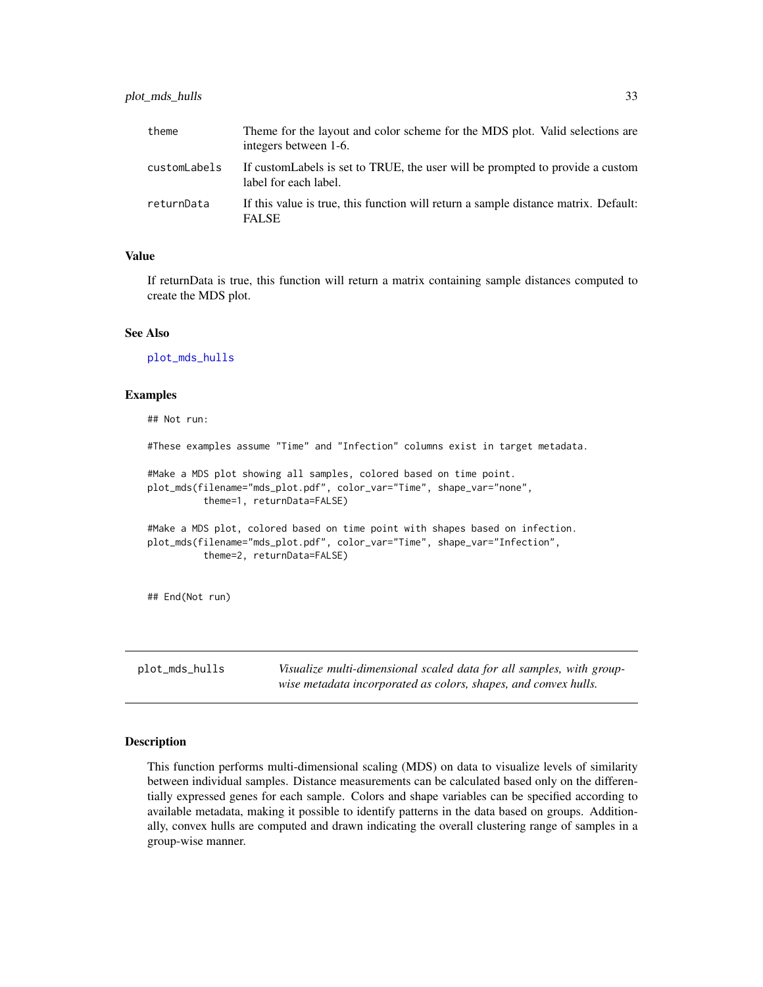#### <span id="page-32-0"></span>plot\_mds\_hulls 33

| theme        | Theme for the layout and color scheme for the MDS plot. Valid selections are<br>integers between 1-6.   |
|--------------|---------------------------------------------------------------------------------------------------------|
| customLabels | If custom Labels is set to TRUE, the user will be prompted to provide a custom<br>label for each label. |
| returnData   | If this value is true, this function will return a sample distance matrix. Default:<br><b>FALSE</b>     |

#### Value

If returnData is true, this function will return a matrix containing sample distances computed to create the MDS plot.

#### See Also

[plot\\_mds\\_hulls](#page-32-1)

#### Examples

## Not run: #These examples assume "Time" and "Infection" columns exist in target metadata. #Make a MDS plot showing all samples, colored based on time point. plot\_mds(filename="mds\_plot.pdf", color\_var="Time", shape\_var="none", theme=1, returnData=FALSE) #Make a MDS plot, colored based on time point with shapes based on infection. plot\_mds(filename="mds\_plot.pdf", color\_var="Time", shape\_var="Infection", theme=2, returnData=FALSE) ## End(Not run)

<span id="page-32-1"></span>plot\_mds\_hulls *Visualize multi-dimensional scaled data for all samples, with groupwise metadata incorporated as colors, shapes, and convex hulls.*

#### Description

This function performs multi-dimensional scaling (MDS) on data to visualize levels of similarity between individual samples. Distance measurements can be calculated based only on the differentially expressed genes for each sample. Colors and shape variables can be specified according to available metadata, making it possible to identify patterns in the data based on groups. Additionally, convex hulls are computed and drawn indicating the overall clustering range of samples in a group-wise manner.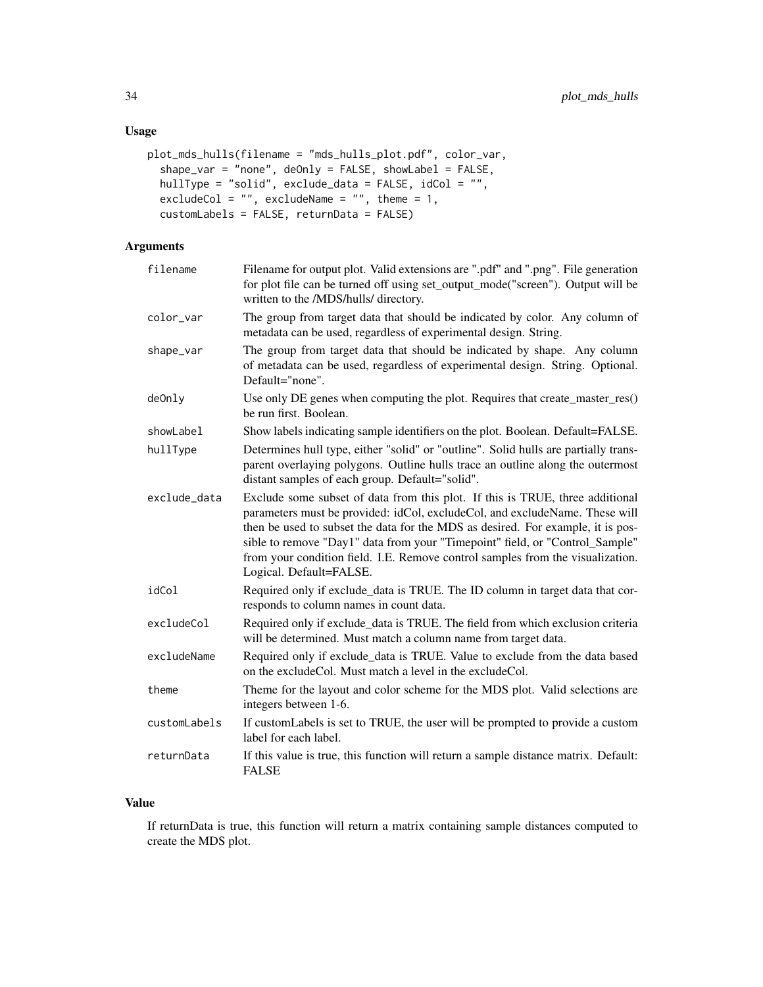#### Usage

```
plot_mds_hulls(filename = "mds_hulls_plot.pdf", color_var,
  shape_var = "none", deOnly = FALSE, showLabel = FALSE,
 hullType = "solid", exclude_data = FALSE, idCol = "",
 excludeCol = "", excludeName = "", theme = 1,
 customLabels = FALSE, returnData = FALSE)
```
### Arguments

| filename     | Filename for output plot. Valid extensions are ".pdf" and ".png". File generation<br>for plot file can be turned off using set_output_mode("screen"). Output will be<br>written to the /MDS/hulls/ directory.                                                                                                                                                                                                                                |
|--------------|----------------------------------------------------------------------------------------------------------------------------------------------------------------------------------------------------------------------------------------------------------------------------------------------------------------------------------------------------------------------------------------------------------------------------------------------|
| color_var    | The group from target data that should be indicated by color. Any column of<br>metadata can be used, regardless of experimental design. String.                                                                                                                                                                                                                                                                                              |
| shape_var    | The group from target data that should be indicated by shape. Any column<br>of metadata can be used, regardless of experimental design. String. Optional.<br>Default="none".                                                                                                                                                                                                                                                                 |
| de0nly       | Use only DE genes when computing the plot. Requires that create_master_res()<br>be run first. Boolean.                                                                                                                                                                                                                                                                                                                                       |
| showLabel    | Show labels indicating sample identifiers on the plot. Boolean. Default=FALSE.                                                                                                                                                                                                                                                                                                                                                               |
| hullType     | Determines hull type, either "solid" or "outline". Solid hulls are partially trans-<br>parent overlaying polygons. Outline hulls trace an outline along the outermost<br>distant samples of each group. Default="solid".                                                                                                                                                                                                                     |
| exclude_data | Exclude some subset of data from this plot. If this is TRUE, three additional<br>parameters must be provided: idCol, excludeCol, and excludeName. These will<br>then be used to subset the data for the MDS as desired. For example, it is pos-<br>sible to remove "Day1" data from your "Timepoint" field, or "Control_Sample"<br>from your condition field. I.E. Remove control samples from the visualization.<br>Logical. Default=FALSE. |
| idCol        | Required only if exclude_data is TRUE. The ID column in target data that cor-<br>responds to column names in count data.                                                                                                                                                                                                                                                                                                                     |
| excludeCol   | Required only if exclude_data is TRUE. The field from which exclusion criteria<br>will be determined. Must match a column name from target data.                                                                                                                                                                                                                                                                                             |
| excludeName  | Required only if exclude_data is TRUE. Value to exclude from the data based<br>on the excludeCol. Must match a level in the excludeCol.                                                                                                                                                                                                                                                                                                      |
| theme        | Theme for the layout and color scheme for the MDS plot. Valid selections are<br>integers between 1-6.                                                                                                                                                                                                                                                                                                                                        |
| customLabels | If customLabels is set to TRUE, the user will be prompted to provide a custom<br>label for each label.                                                                                                                                                                                                                                                                                                                                       |
| returnData   | If this value is true, this function will return a sample distance matrix. Default:<br><b>FALSE</b>                                                                                                                                                                                                                                                                                                                                          |

#### Value

If returnData is true, this function will return a matrix containing sample distances computed to create the MDS plot.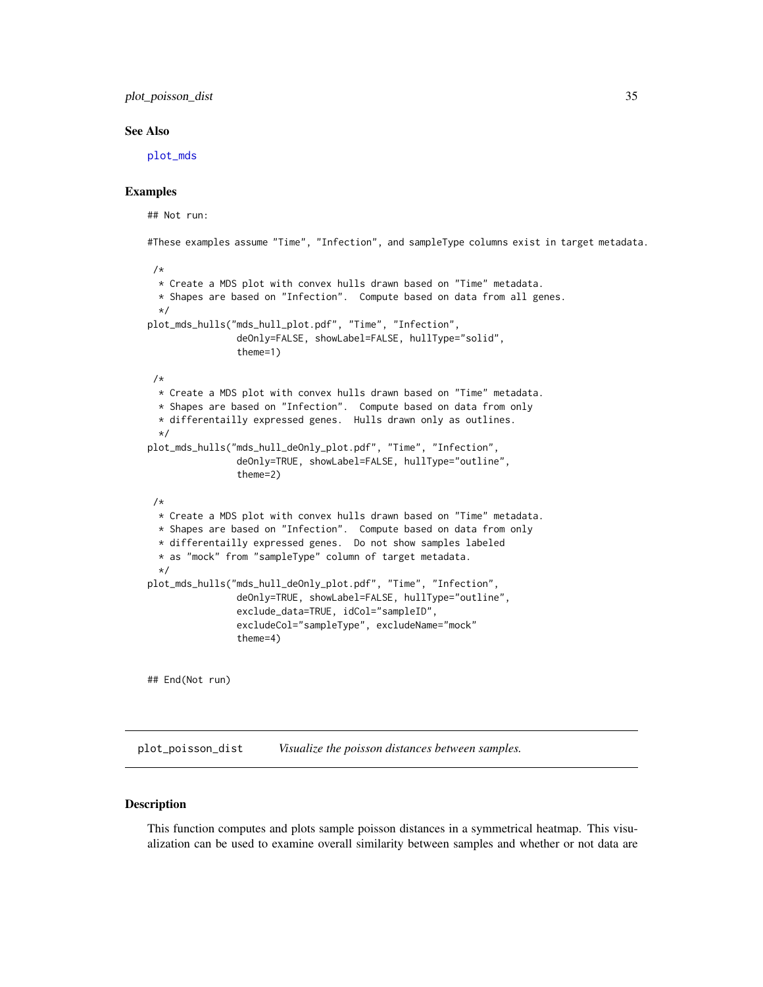<span id="page-34-0"></span>plot\_poisson\_dist 35

#### See Also

[plot\\_mds](#page-31-1)

#### Examples

```
## Not run:
#These examples assume "Time", "Infection", and sampleType columns exist in target metadata.
 /*
 * Create a MDS plot with convex hulls drawn based on "Time" metadata.
 * Shapes are based on "Infection". Compute based on data from all genes.
 \star/plot_mds_hulls("mds_hull_plot.pdf", "Time", "Infection",
                deOnly=FALSE, showLabel=FALSE, hullType="solid",
                theme=1)
 /*
 * Create a MDS plot with convex hulls drawn based on "Time" metadata.
 * Shapes are based on "Infection". Compute based on data from only
 * differentailly expressed genes. Hulls drawn only as outlines.
  */
plot_mds_hulls("mds_hull_deOnly_plot.pdf", "Time", "Infection",
                deOnly=TRUE, showLabel=FALSE, hullType="outline",
                theme=2)
 /*
 * Create a MDS plot with convex hulls drawn based on "Time" metadata.
 * Shapes are based on "Infection". Compute based on data from only
 * differentailly expressed genes. Do not show samples labeled
 * as "mock" from "sampleType" column of target metadata.
 */
plot_mds_hulls("mds_hull_deOnly_plot.pdf", "Time", "Infection",
                deOnly=TRUE, showLabel=FALSE, hullType="outline",
                exclude_data=TRUE, idCol="sampleID",
                excludeCol="sampleType", excludeName="mock"
                theme=4)
## End(Not run)
```
<span id="page-34-1"></span>plot\_poisson\_dist *Visualize the poisson distances between samples.*

#### Description

This function computes and plots sample poisson distances in a symmetrical heatmap. This visualization can be used to examine overall similarity between samples and whether or not data are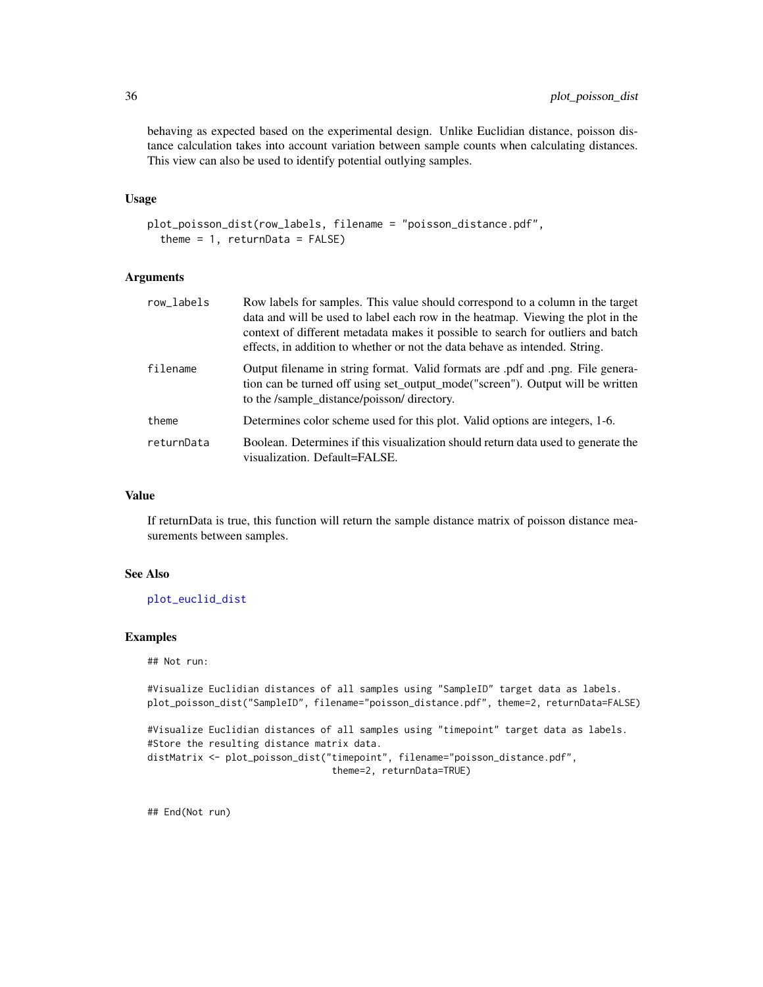behaving as expected based on the experimental design. Unlike Euclidian distance, poisson distance calculation takes into account variation between sample counts when calculating distances. This view can also be used to identify potential outlying samples.

#### Usage

```
plot_poisson_dist(row_labels, filename = "poisson_distance.pdf",
  theme = 1, returnData = FALSE)
```
#### Arguments

| row_labels | Row labels for samples. This value should correspond to a column in the target<br>data and will be used to label each row in the heatmap. Viewing the plot in the<br>context of different metadata makes it possible to search for outliers and batch<br>effects, in addition to whether or not the data behave as intended. String. |
|------------|--------------------------------------------------------------------------------------------------------------------------------------------------------------------------------------------------------------------------------------------------------------------------------------------------------------------------------------|
| filename   | Output filename in string format. Valid formats are pdf and png. File genera-<br>tion can be turned off using set_output_mode("screen"). Output will be written<br>to the /sample distance/poisson/directory.                                                                                                                        |
| theme      | Determines color scheme used for this plot. Valid options are integers, 1-6.                                                                                                                                                                                                                                                         |
| returnData | Boolean. Determines if this visualization should return data used to generate the<br>visualization. Default=FALSE.                                                                                                                                                                                                                   |

#### Value

If returnData is true, this function will return the sample distance matrix of poisson distance measurements between samples.

#### See Also

[plot\\_euclid\\_dist](#page-28-1)

#### Examples

## Not run:

```
#Visualize Euclidian distances of all samples using "SampleID" target data as labels.
plot_poisson_dist("SampleID", filename="poisson_distance.pdf", theme=2, returnData=FALSE)
#Visualize Euclidian distances of all samples using "timepoint" target data as labels.
#Store the resulting distance matrix data.
distMatrix <- plot_poisson_dist("timepoint", filename="poisson_distance.pdf",
                                 theme=2, returnData=TRUE)
```
## End(Not run)

<span id="page-35-0"></span>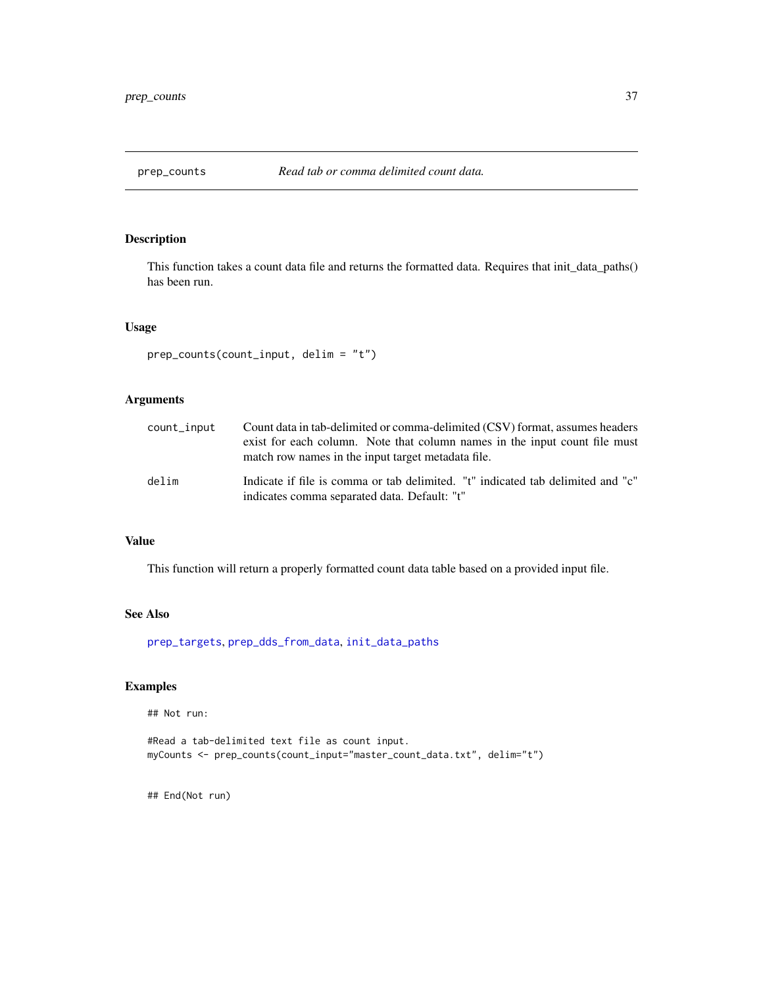<span id="page-36-1"></span><span id="page-36-0"></span>

#### Description

This function takes a count data file and returns the formatted data. Requires that init\_data\_paths() has been run.

#### Usage

```
prep_counts(count_input, delim = "t")
```
#### Arguments

| count_input | Count data in tab-delimited or comma-delimited (CSV) format, assumes headers<br>exist for each column. Note that column names in the input count file must<br>match row names in the input target metadata file. |
|-------------|------------------------------------------------------------------------------------------------------------------------------------------------------------------------------------------------------------------|
| delim       | Indicate if file is comma or tab delimited. "t" indicated tab delimited and "c"<br>indicates comma separated data. Default: "t"                                                                                  |

#### Value

This function will return a properly formatted count data table based on a provided input file.

#### See Also

[prep\\_targets](#page-38-1), [prep\\_dds\\_from\\_data](#page-37-1), [init\\_data\\_paths](#page-23-1)

#### Examples

## Not run:

```
#Read a tab-delimited text file as count input.
myCounts <- prep_counts(count_input="master_count_data.txt", delim="t")
```
## End(Not run)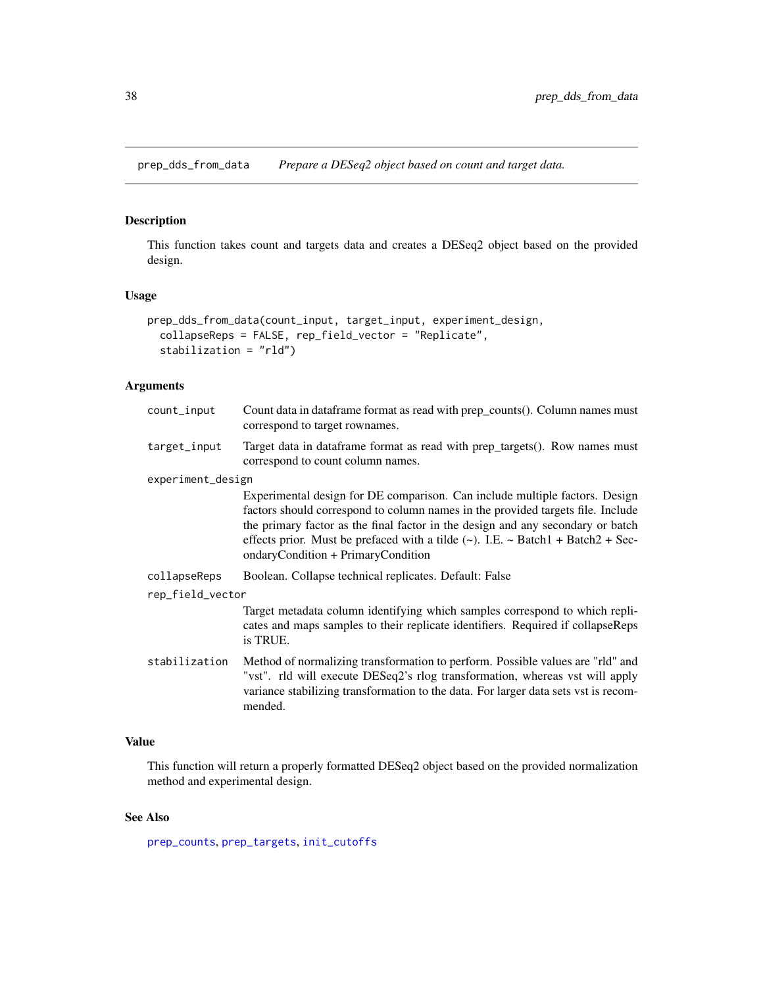<span id="page-37-1"></span><span id="page-37-0"></span>prep\_dds\_from\_data *Prepare a DESeq2 object based on count and target data.*

#### Description

This function takes count and targets data and creates a DESeq2 object based on the provided design.

#### Usage

```
prep_dds_from_data(count_input, target_input, experiment_design,
  collapseReps = FALSE, rep_field_vector = "Replicate",
  stabilization = "rld")
```
#### Arguments

| count_input       | Count data in dataframe format as read with prep_counts(). Column names must<br>correspond to target rownames.                                                                                                                                                                                                                                                                        |
|-------------------|---------------------------------------------------------------------------------------------------------------------------------------------------------------------------------------------------------------------------------------------------------------------------------------------------------------------------------------------------------------------------------------|
| target_input      | Target data in data frame format as read with prep_targets(). Row names must<br>correspond to count column names.                                                                                                                                                                                                                                                                     |
| experiment_design |                                                                                                                                                                                                                                                                                                                                                                                       |
|                   | Experimental design for DE comparison. Can include multiple factors. Design<br>factors should correspond to column names in the provided targets file. Include<br>the primary factor as the final factor in the design and any secondary or batch<br>effects prior. Must be prefaced with a tilde $(\sim)$ . I.E. $\sim$ Batch1 + Batch2 + Sec-<br>ondaryCondition + PrimaryCondition |
| collapseReps      | Boolean. Collapse technical replicates. Default: False                                                                                                                                                                                                                                                                                                                                |
| rep_field_vector  |                                                                                                                                                                                                                                                                                                                                                                                       |
|                   | Target metadata column identifying which samples correspond to which repli-<br>cates and maps samples to their replicate identifiers. Required if collapseReps<br>is TRUE.                                                                                                                                                                                                            |
| stabilization     | Method of normalizing transformation to perform. Possible values are "rld" and<br>"vst". rld will execute DESeq2's rlog transformation, whereas vst will apply<br>variance stabilizing transformation to the data. For larger data sets vst is recom-<br>mended.                                                                                                                      |

#### Value

This function will return a properly formatted DESeq2 object based on the provided normalization method and experimental design.

#### See Also

[prep\\_counts](#page-36-1), [prep\\_targets](#page-38-1), [init\\_cutoffs](#page-23-2)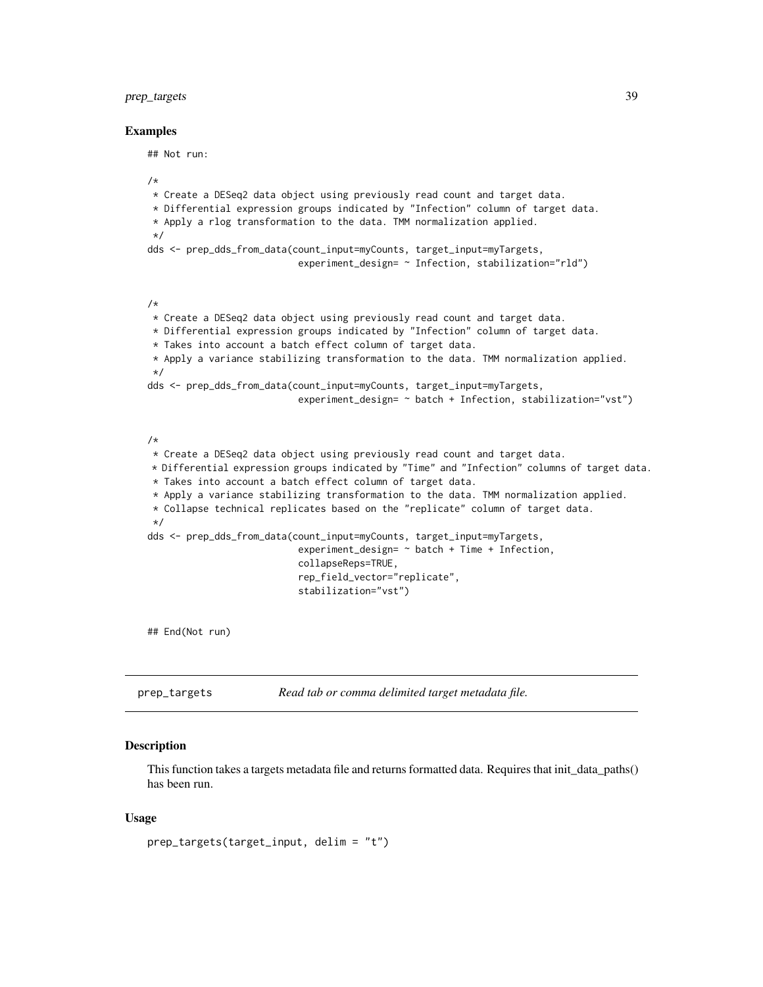#### <span id="page-38-0"></span>prep\_targets 39

#### Examples

## Not run:

```
/*
* Create a DESeq2 data object using previously read count and target data.
* Differential expression groups indicated by "Infection" column of target data.
* Apply a rlog transformation to the data. TMM normalization applied.
*/
dds <- prep_dds_from_data(count_input=myCounts, target_input=myTargets,
                           experiment_design= ~ Infection, stabilization="rld")
/*
* Create a DESeq2 data object using previously read count and target data.
* Differential expression groups indicated by "Infection" column of target data.
* Takes into account a batch effect column of target data.
* Apply a variance stabilizing transformation to the data. TMM normalization applied.
*/
dds <- prep_dds_from_data(count_input=myCounts, target_input=myTargets,
                           experiment_design= ~ batch + Infection, stabilization="vst")
/*
* Create a DESeq2 data object using previously read count and target data.
* Differential expression groups indicated by "Time" and "Infection" columns of target data.
* Takes into account a batch effect column of target data.
* Apply a variance stabilizing transformation to the data. TMM normalization applied.
* Collapse technical replicates based on the "replicate" column of target data.
*/
dds <- prep_dds_from_data(count_input=myCounts, target_input=myTargets,
                           experiment_design= ~ batch + Time + Infection,
                           collapseReps=TRUE,
                           rep_field_vector="replicate",
                           stabilization="vst")
```
## End(Not run)

<span id="page-38-1"></span>prep\_targets *Read tab or comma delimited target metadata file.*

#### Description

This function takes a targets metadata file and returns formatted data. Requires that init\_data\_paths() has been run.

#### Usage

```
prep_targets(target_input, delim = "t")
```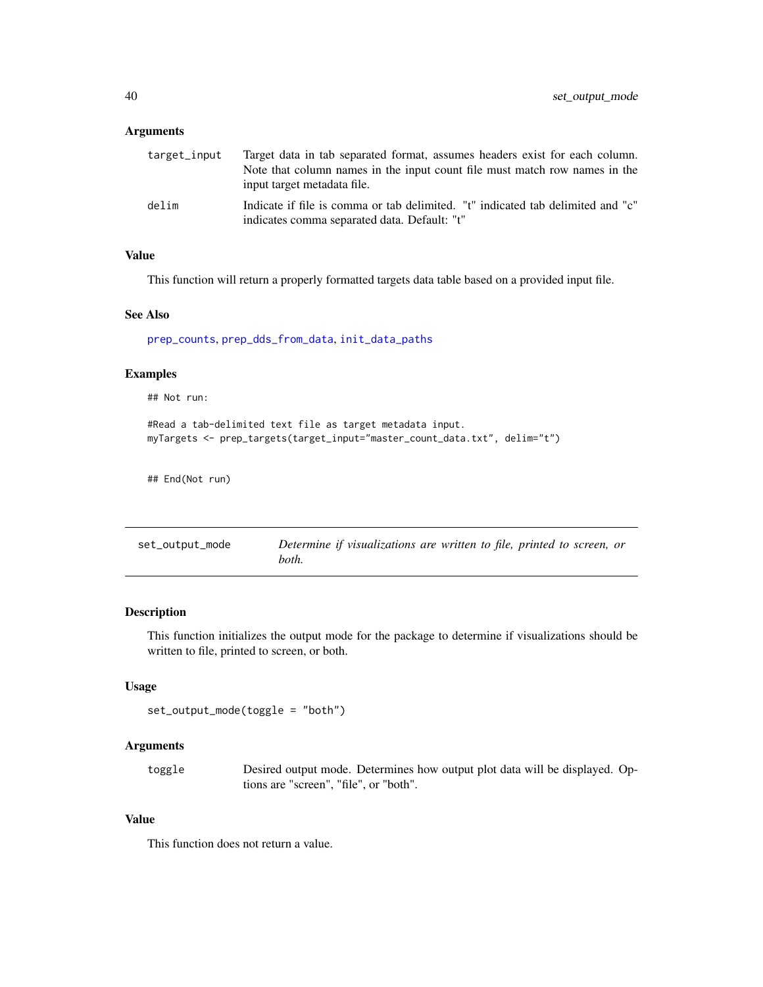#### <span id="page-39-0"></span>Arguments

| target_input | Target data in tab separated format, assumes headers exist for each column.<br>Note that column names in the input count file must match row names in the<br>input target metadata file. |
|--------------|------------------------------------------------------------------------------------------------------------------------------------------------------------------------------------------|
| delim        | Indicate if file is comma or tab delimited. "t" indicated tab delimited and "c"<br>indicates comma separated data. Default: "t"                                                          |

#### Value

This function will return a properly formatted targets data table based on a provided input file.

#### See Also

[prep\\_counts](#page-36-1), [prep\\_dds\\_from\\_data](#page-37-1), [init\\_data\\_paths](#page-23-1)

#### Examples

## Not run:

```
#Read a tab-delimited text file as target metadata input.
myTargets <- prep_targets(target_input="master_count_data.txt", delim="t")
```
## End(Not run)

<span id="page-39-1"></span>

| set_output_mode | Determine if visualizations are written to file, printed to screen, or |
|-----------------|------------------------------------------------------------------------|
|                 | both.                                                                  |

#### Description

This function initializes the output mode for the package to determine if visualizations should be written to file, printed to screen, or both.

#### Usage

```
set_output_mode(toggle = "both")
```
#### Arguments

| toggle | Desired output mode. Determines how output plot data will be displayed. Op- |
|--------|-----------------------------------------------------------------------------|
|        | tions are "screen", "file", or "both".                                      |

#### Value

This function does not return a value.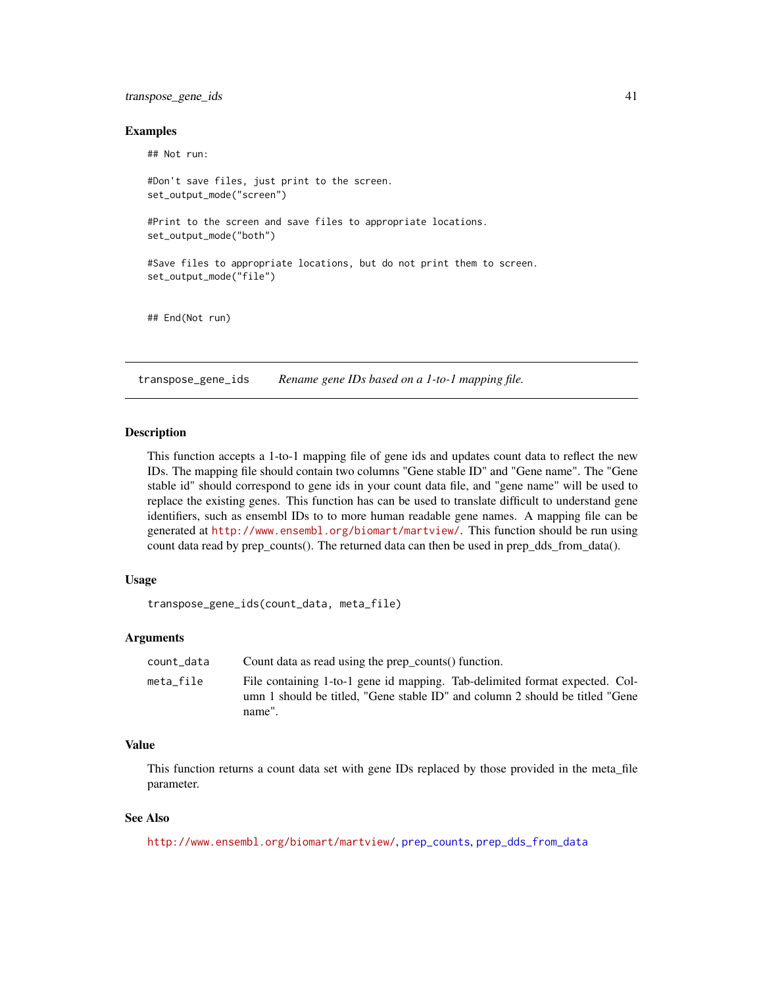#### <span id="page-40-0"></span>transpose\_gene\_ids 41

#### Examples

## Not run:

```
#Don't save files, just print to the screen.
set_output_mode("screen")
#Print to the screen and save files to appropriate locations.
set_output_mode("both")
#Save files to appropriate locations, but do not print them to screen.
set_output_mode("file")
## End(Not run)
```
transpose\_gene\_ids *Rename gene IDs based on a 1-to-1 mapping file.*

#### Description

This function accepts a 1-to-1 mapping file of gene ids and updates count data to reflect the new IDs. The mapping file should contain two columns "Gene stable ID" and "Gene name". The "Gene stable id" should correspond to gene ids in your count data file, and "gene name" will be used to replace the existing genes. This function has can be used to translate difficult to understand gene identifiers, such as ensembl IDs to to more human readable gene names. A mapping file can be generated at <http://www.ensembl.org/biomart/martview/>. This function should be run using count data read by prep\_counts(). The returned data can then be used in prep\_dds\_from\_data().

#### Usage

transpose\_gene\_ids(count\_data, meta\_file)

#### Arguments

| count data | Count data as read using the prep_counts() function.                                                                                                                  |
|------------|-----------------------------------------------------------------------------------------------------------------------------------------------------------------------|
| meta file  | File containing 1-to-1 gene id mapping. Tab-delimited format expected. Col-<br>umn 1 should be titled, "Gene stable ID" and column 2 should be titled "Gene<br>name". |

#### Value

This function returns a count data set with gene IDs replaced by those provided in the meta\_file parameter.

#### See Also

<http://www.ensembl.org/biomart/martview/>, [prep\\_counts](#page-36-1), [prep\\_dds\\_from\\_data](#page-37-1)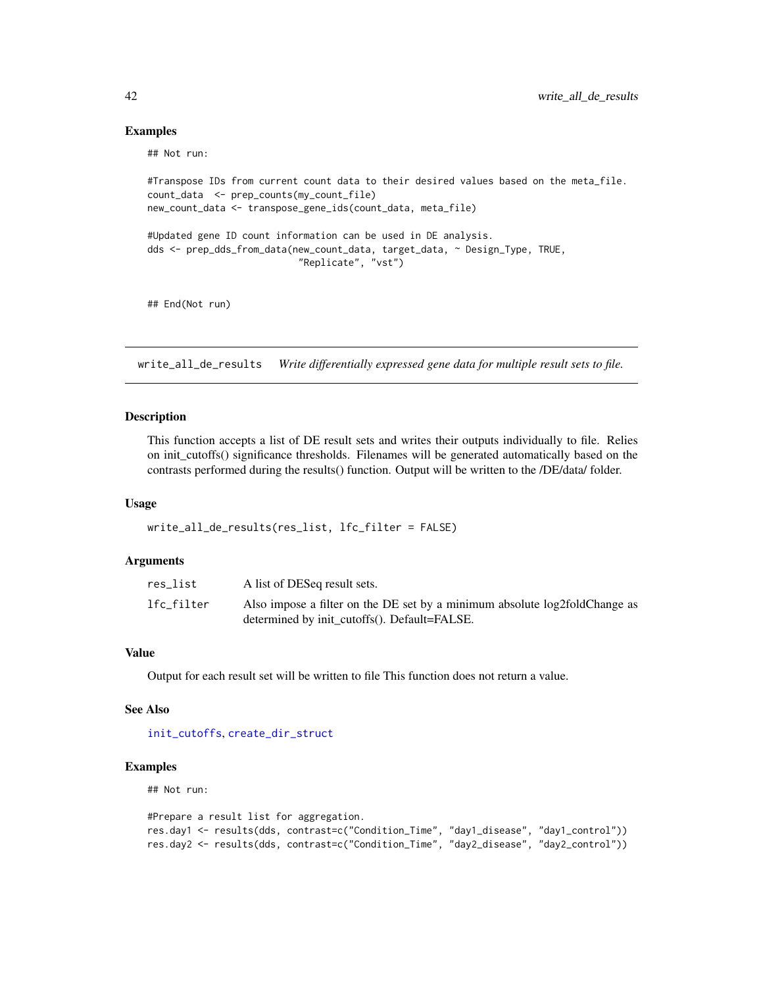#### Examples

## Not run:

```
#Transpose IDs from current count data to their desired values based on the meta_file.
count_data <- prep_counts(my_count_file)
new_count_data <- transpose_gene_ids(count_data, meta_file)
#Updated gene ID count information can be used in DE analysis.
dds <- prep_dds_from_data(new_count_data, target_data, ~ Design_Type, TRUE,
                           "Replicate", "vst")
```
## End(Not run)

write\_all\_de\_results *Write differentially expressed gene data for multiple result sets to file.*

#### Description

This function accepts a list of DE result sets and writes their outputs individually to file. Relies on init\_cutoffs() significance thresholds. Filenames will be generated automatically based on the contrasts performed during the results() function. Output will be written to the /DE/data/ folder.

#### Usage

```
write_all_de_results(res_list, lfc_filter = FALSE)
```
#### Arguments

| res_list   | A list of DESeq result sets.                                                                                               |
|------------|----------------------------------------------------------------------------------------------------------------------------|
| lfc_filter | Also impose a filter on the DE set by a minimum absolute log2foldChange as<br>determined by init_cutoffs(). Default=FALSE. |

#### Value

Output for each result set will be written to file This function does not return a value.

#### See Also

[init\\_cutoffs](#page-23-2), [create\\_dir\\_struct](#page-1-1)

#### Examples

## Not run:

```
#Prepare a result list for aggregation.
res.day1 <- results(dds, contrast=c("Condition_Time", "day1_disease", "day1_control"))
res.day2 <- results(dds, contrast=c("Condition_Time", "day2_disease", "day2_control"))
```
<span id="page-41-0"></span>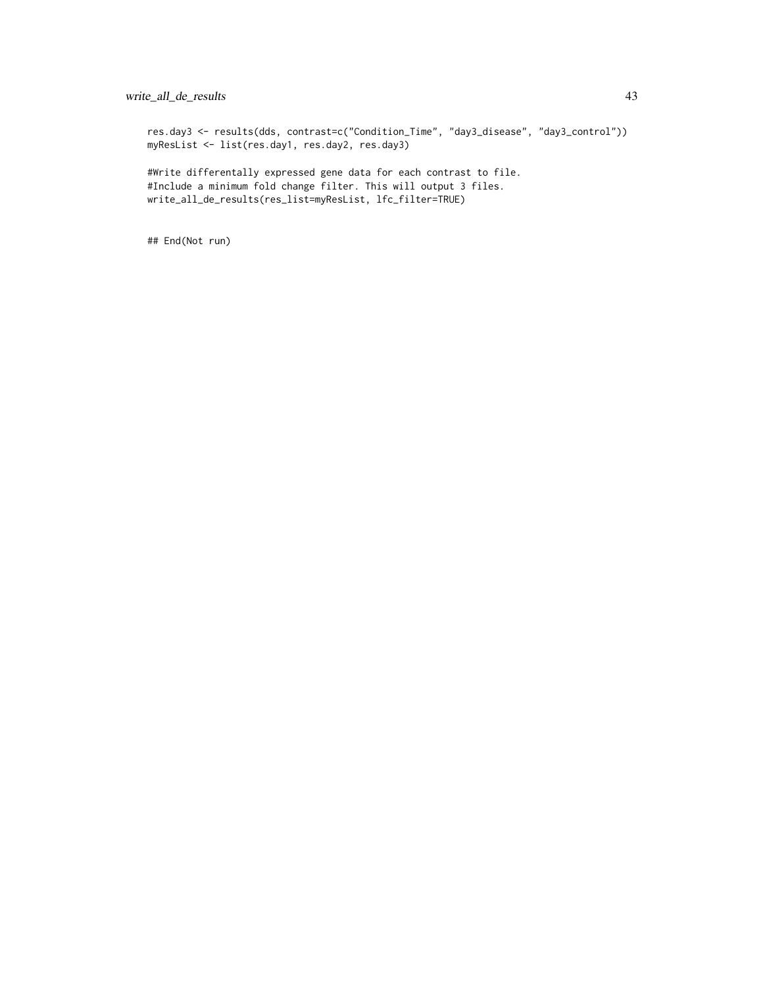#### write\_all\_de\_results 43

res.day3 <- results(dds, contrast=c("Condition\_Time", "day3\_disease", "day3\_control")) myResList <- list(res.day1, res.day2, res.day3)

#Write differentally expressed gene data for each contrast to file. #Include a minimum fold change filter. This will output 3 files. write\_all\_de\_results(res\_list=myResList, lfc\_filter=TRUE)

## End(Not run)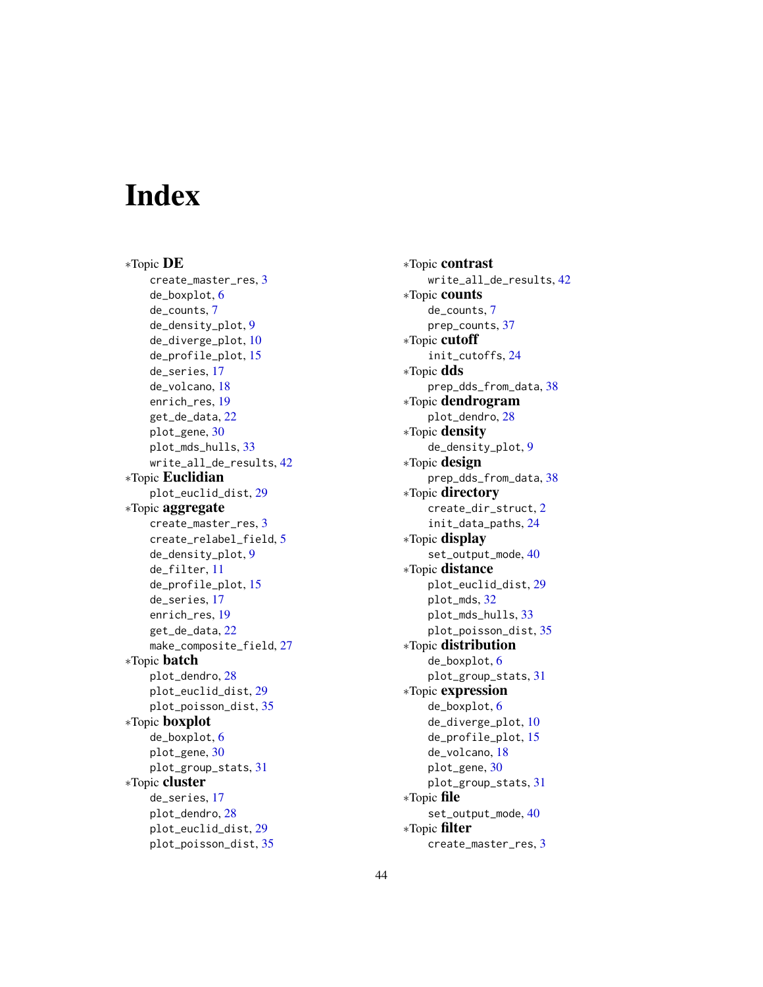# <span id="page-43-0"></span>**Index**

∗Topic DE create\_master\_res, [3](#page-2-0) de\_boxplot, [6](#page-5-0) de\_counts, [7](#page-6-0) de\_density\_plot, [9](#page-8-0) de\_diverge\_plot, [10](#page-9-0) de\_profile\_plot, [15](#page-14-0) de\_series, [17](#page-16-0) de\_volcano, [18](#page-17-0) enrich\_res, [19](#page-18-0) get\_de\_data, [22](#page-21-0) plot\_gene, [30](#page-29-0) plot\_mds\_hulls, [33](#page-32-0) write\_all\_de\_results, [42](#page-41-0) ∗Topic Euclidian plot\_euclid\_dist, [29](#page-28-0) ∗Topic aggregate create\_master\_res, [3](#page-2-0) create\_relabel\_field, [5](#page-4-0) de\_density\_plot, [9](#page-8-0) de\_filter, [11](#page-10-0) de\_profile\_plot, [15](#page-14-0) de\_series, [17](#page-16-0) enrich\_res, [19](#page-18-0) get\_de\_data, [22](#page-21-0) make\_composite\_field, [27](#page-26-0) ∗Topic batch plot\_dendro, [28](#page-27-0) plot\_euclid\_dist, [29](#page-28-0) plot\_poisson\_dist, [35](#page-34-0) ∗Topic boxplot de\_boxplot, [6](#page-5-0) plot\_gene, [30](#page-29-0) plot\_group\_stats, [31](#page-30-0) ∗Topic cluster de\_series, [17](#page-16-0) plot\_dendro, [28](#page-27-0) plot\_euclid\_dist, [29](#page-28-0) plot\_poisson\_dist, [35](#page-34-0)

∗Topic contrast write\_all\_de\_results, [42](#page-41-0) ∗Topic counts de\_counts, [7](#page-6-0) prep\_counts, [37](#page-36-0) ∗Topic cutoff init\_cutoffs, [24](#page-23-0) ∗Topic dds prep\_dds\_from\_data, [38](#page-37-0) ∗Topic dendrogram plot\_dendro, [28](#page-27-0) ∗Topic density de\_density\_plot, [9](#page-8-0) ∗Topic design prep\_dds\_from\_data, [38](#page-37-0) ∗Topic directory create\_dir\_struct, [2](#page-1-0) init\_data\_paths, [24](#page-23-0) ∗Topic display set\_output\_mode, [40](#page-39-0) ∗Topic distance plot\_euclid\_dist, [29](#page-28-0) plot\_mds, [32](#page-31-0) plot\_mds\_hulls, [33](#page-32-0) plot\_poisson\_dist, [35](#page-34-0) ∗Topic distribution de\_boxplot, [6](#page-5-0) plot\_group\_stats, [31](#page-30-0) ∗Topic expression de\_boxplot, [6](#page-5-0) de\_diverge\_plot, [10](#page-9-0) de\_profile\_plot, [15](#page-14-0) de\_volcano, [18](#page-17-0) plot\_gene, [30](#page-29-0) plot\_group\_stats, [31](#page-30-0) ∗Topic file set\_output\_mode, [40](#page-39-0) ∗Topic filter create\_master\_res, [3](#page-2-0)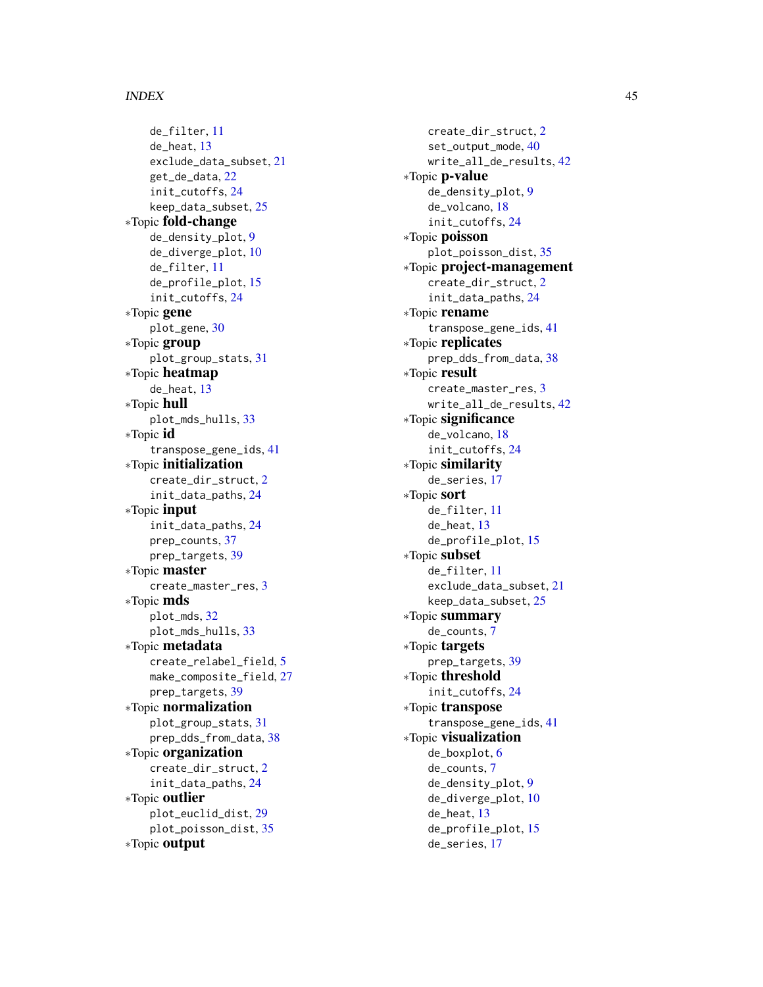#### INDEX 45

de\_filter , [11](#page-10-0) de\_heat , [13](#page-12-0) exclude\_data\_subset , [21](#page-20-0) get\_de\_data , [22](#page-21-0) init\_cutoffs , [24](#page-23-0) keep\_data\_subset , [25](#page-24-0) ∗Topic fold-change de\_density\_plot , [9](#page-8-0) de\_diverge\_plot , [10](#page-9-0) de\_filter , [11](#page-10-0) de\_profile\_plot , [15](#page-14-0) init\_cutoffs , [24](#page-23-0) ∗Topic gene plot\_gene , [30](#page-29-0) ∗Topic group plot\_group\_stats , [31](#page-30-0) ∗Topic heatmap de\_heat , [13](#page-12-0) ∗Topic hull plot\_mds\_hulls , [33](#page-32-0) ∗Topic id transpose\_gene\_ids , [41](#page-40-0) ∗Topic initialization create\_dir\_struct , [2](#page-1-0) init\_data\_paths , [24](#page-23-0) ∗Topic input init\_data\_paths , [24](#page-23-0) prep\_counts , [37](#page-36-0) prep\_targets , [39](#page-38-0) ∗Topic master create\_master\_res , [3](#page-2-0) ∗Topic mds plot\_mds , [32](#page-31-0) plot\_mds\_hulls , [33](#page-32-0) ∗Topic metadata create\_relabel\_field , [5](#page-4-0) make\_composite\_field, [27](#page-26-0) prep\_targets , [39](#page-38-0) ∗Topic normalization plot\_group\_stats , [31](#page-30-0) prep\_dds\_from\_data , [38](#page-37-0) ∗Topic organization create\_dir\_struct , [2](#page-1-0) init\_data\_paths , [24](#page-23-0) ∗Topic outlier plot\_euclid\_dist , [29](#page-28-0) plot\_poisson\_dist , [35](#page-34-0) ∗Topic output

create\_dir\_struct , [2](#page-1-0) set\_output\_mode , [40](#page-39-0) write\_all\_de\_results , [42](#page-41-0) ∗Topic p-value de\_density\_plot , [9](#page-8-0) de\_volcano , [18](#page-17-0) init\_cutoffs , [24](#page-23-0) ∗Topic poisson plot\_poisson\_dist , [35](#page-34-0) ∗Topic project-management create\_dir\_struct , [2](#page-1-0) init\_data\_paths , [24](#page-23-0) ∗Topic rename transpose\_gene\_ids , [41](#page-40-0) ∗Topic replicates prep\_dds\_from\_data , [38](#page-37-0) ∗Topic result create\_master\_res , [3](#page-2-0) write\_all\_de\_results , [42](#page-41-0) ∗Topic significance de\_volcano , [18](#page-17-0) init\_cutoffs , [24](#page-23-0) ∗Topic similarity de\_series , [17](#page-16-0) ∗Topic sort de\_filter , [11](#page-10-0) de\_heat , [13](#page-12-0) de\_profile\_plot , [15](#page-14-0) ∗Topic subset de\_filter , [11](#page-10-0) exclude\_data\_subset , [21](#page-20-0) keep\_data\_subset , [25](#page-24-0) ∗Topic summary de\_counts , [7](#page-6-0) ∗Topic targets prep\_targets , [39](#page-38-0) ∗Topic threshold init\_cutoffs , [24](#page-23-0) ∗Topic transpose transpose\_gene\_ids , [41](#page-40-0) ∗Topic visualization de\_boxplot , [6](#page-5-0) de\_counts , [7](#page-6-0) de\_density\_plot , [9](#page-8-0) de\_diverge\_plot , [10](#page-9-0) de\_heat , [13](#page-12-0) de\_profile\_plot , [15](#page-14-0) de\_series , [17](#page-16-0)